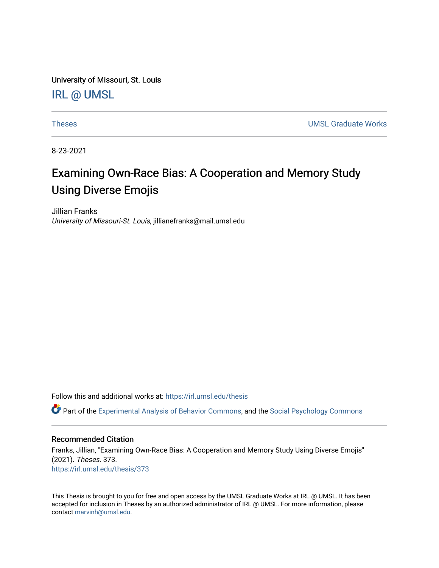University of Missouri, St. Louis [IRL @ UMSL](https://irl.umsl.edu/) 

[Theses](https://irl.umsl.edu/thesis) [UMSL Graduate Works](https://irl.umsl.edu/grad) 

8-23-2021

# Examining Own-Race Bias: A Cooperation and Memory Study Using Diverse Emojis

Jillian Franks University of Missouri-St. Louis, jillianefranks@mail.umsl.edu

Follow this and additional works at: [https://irl.umsl.edu/thesis](https://irl.umsl.edu/thesis?utm_source=irl.umsl.edu%2Fthesis%2F373&utm_medium=PDF&utm_campaign=PDFCoverPages) 

Part of the [Experimental Analysis of Behavior Commons,](https://network.bepress.com/hgg/discipline/1236?utm_source=irl.umsl.edu%2Fthesis%2F373&utm_medium=PDF&utm_campaign=PDFCoverPages) and the [Social Psychology Commons](https://network.bepress.com/hgg/discipline/414?utm_source=irl.umsl.edu%2Fthesis%2F373&utm_medium=PDF&utm_campaign=PDFCoverPages) 

### Recommended Citation

Franks, Jillian, "Examining Own-Race Bias: A Cooperation and Memory Study Using Diverse Emojis" (2021). Theses. 373. [https://irl.umsl.edu/thesis/373](https://irl.umsl.edu/thesis/373?utm_source=irl.umsl.edu%2Fthesis%2F373&utm_medium=PDF&utm_campaign=PDFCoverPages) 

This Thesis is brought to you for free and open access by the UMSL Graduate Works at IRL @ UMSL. It has been accepted for inclusion in Theses by an authorized administrator of IRL @ UMSL. For more information, please contact [marvinh@umsl.edu.](mailto:marvinh@umsl.edu)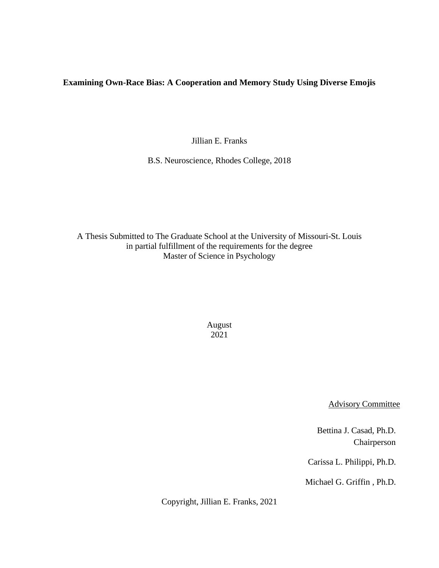## **Examining Own-Race Bias: A Cooperation and Memory Study Using Diverse Emojis**

Jillian E. Franks

B.S. Neuroscience, Rhodes College, 2018

A Thesis Submitted to The Graduate School at the University of Missouri-St. Louis in partial fulfillment of the requirements for the degree Master of Science in Psychology

> August 2021

> > Advisory Committee

Bettina J. Casad, Ph.D. Chairperson

Carissa L. Philippi, Ph.D.

Michael G. Griffin , Ph.D.

Copyright, Jillian E. Franks, 2021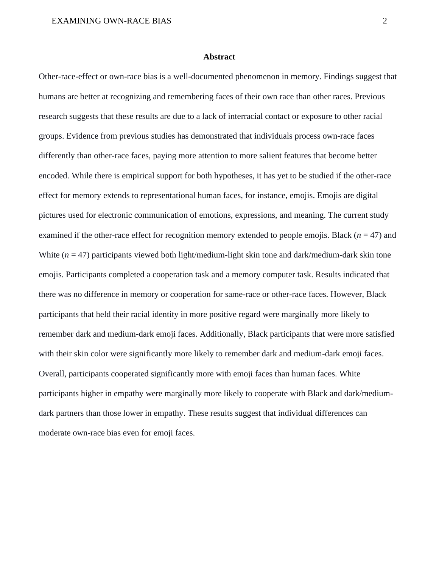#### **Abstract**

Other-race-effect or own-race bias is a well-documented phenomenon in memory. Findings suggest that humans are better at recognizing and remembering faces of their own race than other races. Previous research suggests that these results are due to a lack of interracial contact or exposure to other racial groups. Evidence from previous studies has demonstrated that individuals process own-race faces differently than other-race faces, paying more attention to more salient features that become better encoded. While there is empirical support for both hypotheses, it has yet to be studied if the other-race effect for memory extends to representational human faces, for instance, emojis. Emojis are digital pictures used for electronic communication of emotions, expressions, and meaning. The current study examined if the other-race effect for recognition memory extended to people emojis. Black  $(n = 47)$  and White (*n* = 47) participants viewed both light/medium-light skin tone and dark/medium-dark skin tone emojis. Participants completed a cooperation task and a memory computer task. Results indicated that there was no difference in memory or cooperation for same-race or other-race faces. However, Black participants that held their racial identity in more positive regard were marginally more likely to remember dark and medium-dark emoji faces. Additionally, Black participants that were more satisfied with their skin color were significantly more likely to remember dark and medium-dark emoji faces. Overall, participants cooperated significantly more with emoji faces than human faces. White participants higher in empathy were marginally more likely to cooperate with Black and dark/mediumdark partners than those lower in empathy. These results suggest that individual differences can moderate own-race bias even for emoji faces.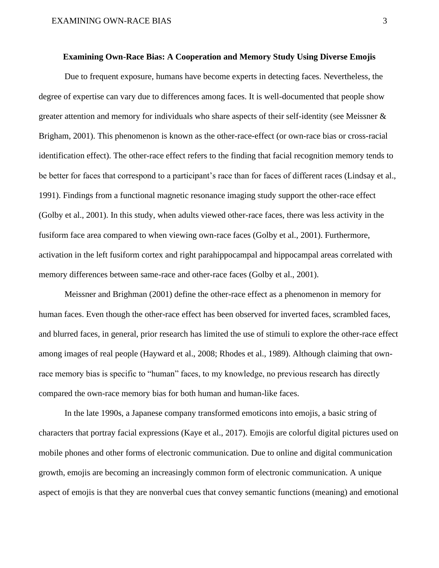#### **Examining Own-Race Bias: A Cooperation and Memory Study Using Diverse Emojis**

Due to frequent exposure, humans have become experts in detecting faces. Nevertheless, the degree of expertise can vary due to differences among faces. It is well-documented that people show greater attention and memory for individuals who share aspects of their self-identity (see Meissner & Brigham, 2001). This phenomenon is known as the other-race-effect (or own-race bias or cross-racial identification effect). The other-race effect refers to the finding that facial recognition memory tends to be better for faces that correspond to a participant's race than for faces of different races (Lindsay et al., 1991). Findings from a functional magnetic resonance imaging study support the other-race effect (Golby et al., 2001). In this study, when adults viewed other-race faces, there was less activity in the fusiform face area compared to when viewing own-race faces (Golby et al., 2001). Furthermore, activation in the left fusiform cortex and right parahippocampal and hippocampal areas correlated with memory differences between same-race and other-race faces (Golby et al., 2001).

Meissner and Brighman (2001) define the other-race effect as a phenomenon in memory for human faces. Even though the other-race effect has been observed for inverted faces, scrambled faces, and blurred faces, in general, prior research has limited the use of stimuli to explore the other-race effect among images of real people (Hayward et al., 2008; Rhodes et al., 1989). Although claiming that ownrace memory bias is specific to "human" faces, to my knowledge, no previous research has directly compared the own-race memory bias for both human and human-like faces.

In the late 1990s, a Japanese company transformed emoticons into emojis, a basic string of characters that portray facial expressions (Kaye et al., 2017). Emojis are colorful digital pictures used on mobile phones and other forms of electronic communication. Due to online and digital communication growth, emojis are becoming an increasingly common form of electronic communication. A unique aspect of emojis is that they are nonverbal cues that convey semantic functions (meaning) and emotional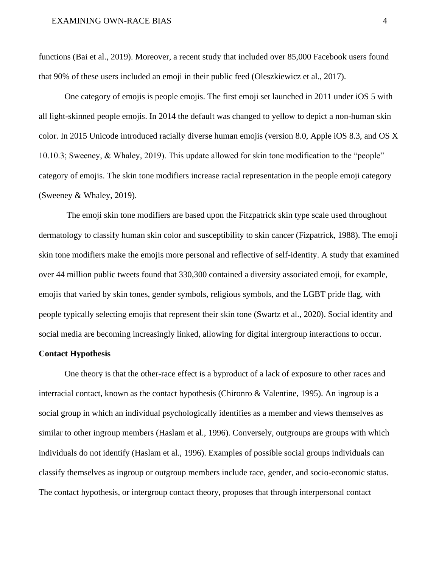functions (Bai et al., 2019). Moreover, a recent study that included over 85,000 Facebook users found that 90% of these users included an emoji in their public feed (Oleszkiewicz et al., 2017).

One category of emojis is people emojis. The first emoji set launched in 2011 under iOS 5 with all light-skinned people emojis. In 2014 the default was changed to yellow to depict a non-human skin color. In 2015 Unicode introduced racially diverse human emojis (version 8.0, Apple iOS 8.3, and OS X 10.10.3; Sweeney, & Whaley, 2019). This update allowed for skin tone modification to the "people" category of emojis. The skin tone modifiers increase racial representation in the people emoji category (Sweeney & Whaley, 2019).

The emoji skin tone modifiers are based upon the Fitzpatrick skin type scale used throughout dermatology to classify human skin color and susceptibility to skin cancer (Fizpatrick, 1988). The emoji skin tone modifiers make the emojis more personal and reflective of self-identity. A study that examined over 44 million public tweets found that 330,300 contained a diversity associated emoji, for example, emojis that varied by skin tones, gender symbols, religious symbols, and the LGBT pride flag, with people typically selecting emojis that represent their skin tone (Swartz et al., 2020). Social identity and social media are becoming increasingly linked, allowing for digital intergroup interactions to occur.

### **Contact Hypothesis**

One theory is that the other-race effect is a byproduct of a lack of exposure to other races and interracial contact, known as the contact hypothesis (Chironro & Valentine, 1995). An ingroup is a social group in which an individual psychologically identifies as a member and views themselves as similar to other ingroup members (Haslam et al., 1996). Conversely, outgroups are groups with which individuals do not identify (Haslam et al., 1996). Examples of possible social groups individuals can classify themselves as ingroup or outgroup members include race, gender, and socio-economic status. The contact hypothesis, or intergroup contact theory, proposes that through interpersonal contact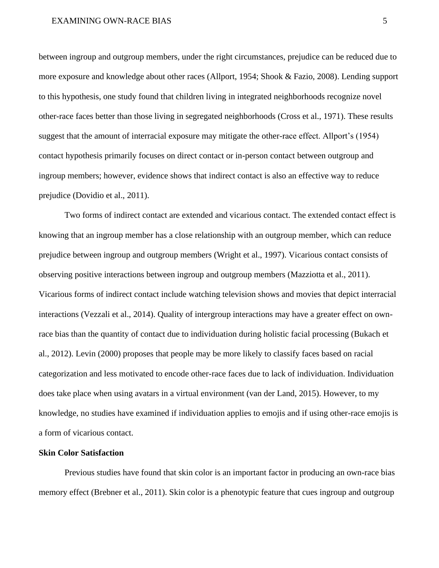between ingroup and outgroup members, under the right circumstances, prejudice can be reduced due to more exposure and knowledge about other races (Allport, 1954; Shook & Fazio, 2008). Lending support to this hypothesis, one study found that children living in integrated neighborhoods recognize novel other-race faces better than those living in segregated neighborhoods (Cross et al., 1971). These results suggest that the amount of interracial exposure may mitigate the other-race effect. Allport's (1954) contact hypothesis primarily focuses on direct contact or in-person contact between outgroup and ingroup members; however, evidence shows that indirect contact is also an effective way to reduce prejudice (Dovidio et al., 2011).

Two forms of indirect contact are extended and vicarious contact. The extended contact effect is knowing that an ingroup member has a close relationship with an outgroup member, which can reduce prejudice between ingroup and outgroup members (Wright et al., 1997). Vicarious contact consists of observing positive interactions between ingroup and outgroup members (Mazziotta et al., 2011). Vicarious forms of indirect contact include watching television shows and movies that depict interracial interactions (Vezzali et al., 2014). Quality of intergroup interactions may have a greater effect on ownrace bias than the quantity of contact due to individuation during holistic facial processing (Bukach et al., 2012). Levin (2000) proposes that people may be more likely to classify faces based on racial categorization and less motivated to encode other-race faces due to lack of individuation. Individuation does take place when using avatars in a virtual environment (van der Land, 2015). However, to my knowledge, no studies have examined if individuation applies to emojis and if using other-race emojis is a form of vicarious contact.

### **Skin Color Satisfaction**

Previous studies have found that skin color is an important factor in producing an own-race bias memory effect (Brebner et al., 2011). Skin color is a phenotypic feature that cues ingroup and outgroup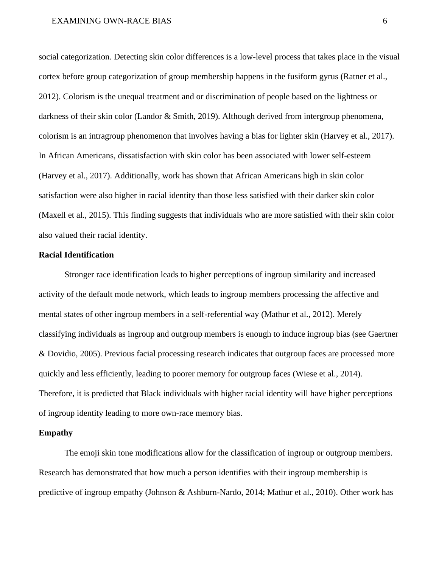social categorization. Detecting skin color differences is a low-level process that takes place in the visual cortex before group categorization of group membership happens in the fusiform gyrus (Ratner et al., 2012). Colorism is the unequal treatment and or discrimination of people based on the lightness or darkness of their skin color (Landor & Smith, 2019). Although derived from intergroup phenomena, colorism is an intragroup phenomenon that involves having a bias for lighter skin (Harvey et al., 2017). In African Americans, dissatisfaction with skin color has been associated with lower self-esteem (Harvey et al., 2017). Additionally, work has shown that African Americans high in skin color satisfaction were also higher in racial identity than those less satisfied with their darker skin color (Maxell et al., 2015). This finding suggests that individuals who are more satisfied with their skin color also valued their racial identity.

#### **Racial Identification**

Stronger race identification leads to higher perceptions of ingroup similarity and increased activity of the default mode network, which leads to ingroup members processing the affective and mental states of other ingroup members in a self-referential way (Mathur et al., 2012). Merely classifying individuals as ingroup and outgroup members is enough to induce ingroup bias (see Gaertner & Dovidio, 2005). Previous facial processing research indicates that outgroup faces are processed more quickly and less efficiently, leading to poorer memory for outgroup faces (Wiese et al., 2014). Therefore, it is predicted that Black individuals with higher racial identity will have higher perceptions of ingroup identity leading to more own-race memory bias.

### **Empathy**

The emoji skin tone modifications allow for the classification of ingroup or outgroup members. Research has demonstrated that how much a person identifies with their ingroup membership is predictive of ingroup empathy (Johnson & Ashburn-Nardo, 2014; Mathur et al., 2010). Other work has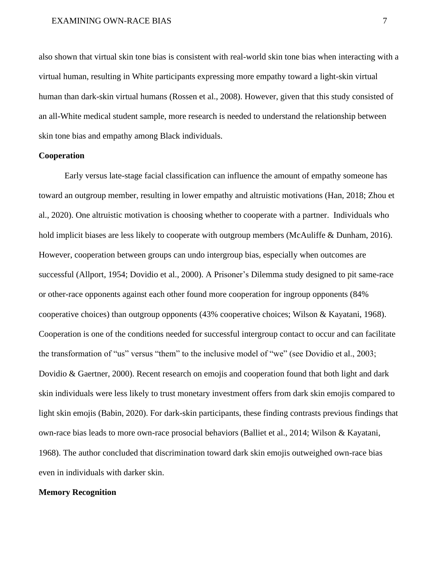also shown that virtual skin tone bias is consistent with real-world skin tone bias when interacting with a virtual human, resulting in White participants expressing more empathy toward a light-skin virtual human than dark-skin virtual humans (Rossen et al., 2008). However, given that this study consisted of an all-White medical student sample, more research is needed to understand the relationship between skin tone bias and empathy among Black individuals.

#### **Cooperation**

Early versus late-stage facial classification can influence the amount of empathy someone has toward an outgroup member, resulting in lower empathy and altruistic motivations (Han, 2018; Zhou et al., 2020). One altruistic motivation is choosing whether to cooperate with a partner. Individuals who hold implicit biases are less likely to cooperate with outgroup members (McAuliffe & Dunham, 2016). However, cooperation between groups can undo intergroup bias, especially when outcomes are successful (Allport, 1954; Dovidio et al., 2000). A Prisoner's Dilemma study designed to pit same-race or other-race opponents against each other found more cooperation for ingroup opponents (84% cooperative choices) than outgroup opponents (43% cooperative choices; Wilson & Kayatani, 1968). Cooperation is one of the conditions needed for successful intergroup contact to occur and can facilitate the transformation of "us" versus "them" to the inclusive model of "we" (see Dovidio et al., 2003; Dovidio & Gaertner, 2000). Recent research on emojis and cooperation found that both light and dark skin individuals were less likely to trust monetary investment offers from dark skin emojis compared to light skin emojis (Babin, 2020). For dark-skin participants, these finding contrasts previous findings that own-race bias leads to more own-race prosocial behaviors (Balliet et al., 2014; Wilson & Kayatani, 1968). The author concluded that discrimination toward dark skin emojis outweighed own-race bias even in individuals with darker skin.

#### **Memory Recognition**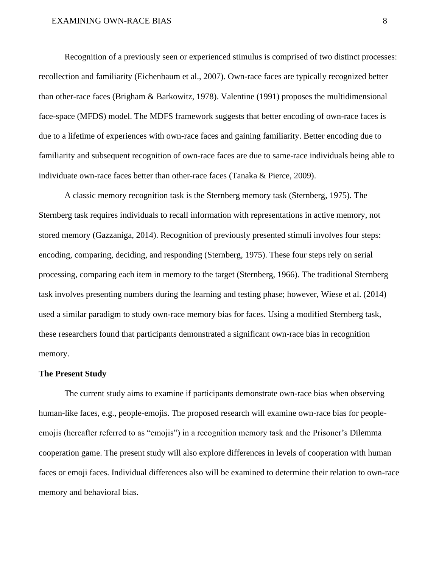Recognition of a previously seen or experienced stimulus is comprised of two distinct processes: recollection and familiarity (Eichenbaum et al., 2007). Own-race faces are typically recognized better than other-race faces (Brigham & Barkowitz, 1978). Valentine (1991) proposes the multidimensional face-space (MFDS) model. The MDFS framework suggests that better encoding of own-race faces is due to a lifetime of experiences with own-race faces and gaining familiarity. Better encoding due to familiarity and subsequent recognition of own-race faces are due to same-race individuals being able to individuate own-race faces better than other-race faces (Tanaka & Pierce, 2009).

A classic memory recognition task is the Sternberg memory task (Sternberg, 1975). The Sternberg task requires individuals to recall information with representations in active memory, not stored memory (Gazzaniga, 2014). Recognition of previously presented stimuli involves four steps: encoding, comparing, deciding, and responding (Sternberg, 1975). These four steps rely on serial processing, comparing each item in memory to the target (Sternberg, 1966). The traditional Sternberg task involves presenting numbers during the learning and testing phase; however, Wiese et al. (2014) used a similar paradigm to study own-race memory bias for faces. Using a modified Sternberg task, these researchers found that participants demonstrated a significant own-race bias in recognition memory.

#### **The Present Study**

The current study aims to examine if participants demonstrate own-race bias when observing human-like faces, e.g., people-emojis. The proposed research will examine own-race bias for peopleemojis (hereafter referred to as "emojis") in a recognition memory task and the Prisoner's Dilemma cooperation game. The present study will also explore differences in levels of cooperation with human faces or emoji faces. Individual differences also will be examined to determine their relation to own-race memory and behavioral bias.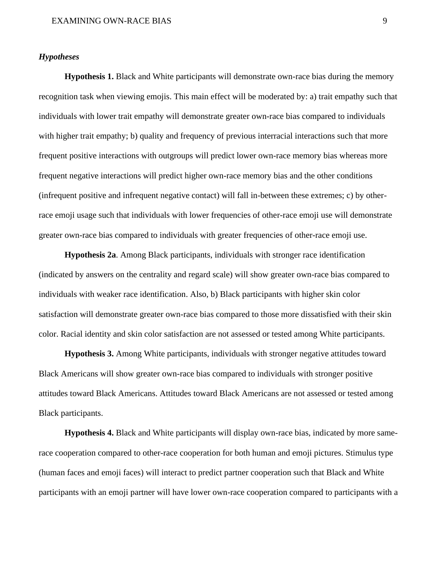### *Hypotheses*

**Hypothesis 1.** Black and White participants will demonstrate own-race bias during the memory recognition task when viewing emojis. This main effect will be moderated by: a) trait empathy such that individuals with lower trait empathy will demonstrate greater own-race bias compared to individuals with higher trait empathy; b) quality and frequency of previous interracial interactions such that more frequent positive interactions with outgroups will predict lower own-race memory bias whereas more frequent negative interactions will predict higher own-race memory bias and the other conditions (infrequent positive and infrequent negative contact) will fall in-between these extremes; c) by otherrace emoji usage such that individuals with lower frequencies of other-race emoji use will demonstrate greater own-race bias compared to individuals with greater frequencies of other-race emoji use.

**Hypothesis 2a**. Among Black participants, individuals with stronger race identification (indicated by answers on the centrality and regard scale) will show greater own-race bias compared to individuals with weaker race identification. Also, b) Black participants with higher skin color satisfaction will demonstrate greater own-race bias compared to those more dissatisfied with their skin color. Racial identity and skin color satisfaction are not assessed or tested among White participants.

**Hypothesis 3.** Among White participants, individuals with stronger negative attitudes toward Black Americans will show greater own-race bias compared to individuals with stronger positive attitudes toward Black Americans. Attitudes toward Black Americans are not assessed or tested among Black participants.

**Hypothesis 4.** Black and White participants will display own-race bias, indicated by more samerace cooperation compared to other-race cooperation for both human and emoji pictures. Stimulus type (human faces and emoji faces) will interact to predict partner cooperation such that Black and White participants with an emoji partner will have lower own-race cooperation compared to participants with a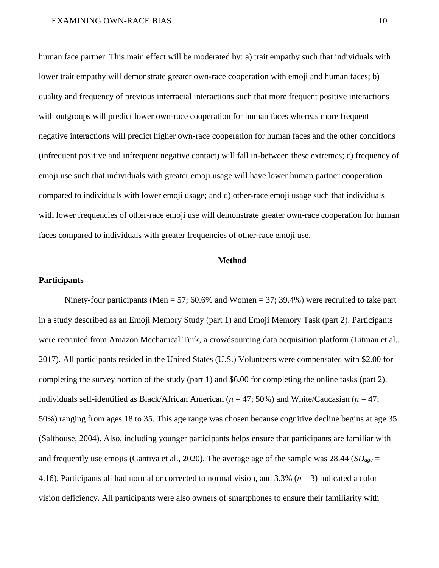human face partner. This main effect will be moderated by: a) trait empathy such that individuals with lower trait empathy will demonstrate greater own-race cooperation with emoji and human faces; b) quality and frequency of previous interracial interactions such that more frequent positive interactions with outgroups will predict lower own-race cooperation for human faces whereas more frequent negative interactions will predict higher own-race cooperation for human faces and the other conditions (infrequent positive and infrequent negative contact) will fall in-between these extremes; c) frequency of emoji use such that individuals with greater emoji usage will have lower human partner cooperation compared to individuals with lower emoji usage; and d) other-race emoji usage such that individuals with lower frequencies of other-race emoji use will demonstrate greater own-race cooperation for human faces compared to individuals with greater frequencies of other-race emoji use.

### **Method**

#### **Participants**

Ninety-four participants (Men = 57;  $60.6\%$  and Women = 37; 39.4%) were recruited to take part in a study described as an Emoji Memory Study (part 1) and Emoji Memory Task (part 2). Participants were recruited from Amazon Mechanical Turk, a crowdsourcing data acquisition platform (Litman et al., 2017). All participants resided in the United States (U.S.) Volunteers were compensated with \$2.00 for completing the survey portion of the study (part 1) and \$6.00 for completing the online tasks (part 2). Individuals self-identified as Black/African American (*n* = 47; 50%) and White/Caucasian (*n* = 47; 50%) ranging from ages 18 to 35. This age range was chosen because cognitive decline begins at age 35 (Salthouse, 2004). Also, including younger participants helps ensure that participants are familiar with and frequently use emojis (Gantiva et al., 2020). The average age of the sample was 28.44 (*SDage* = 4.16). Participants all had normal or corrected to normal vision, and 3.3% (*n* = 3) indicated a color vision deficiency. All participants were also owners of smartphones to ensure their familiarity with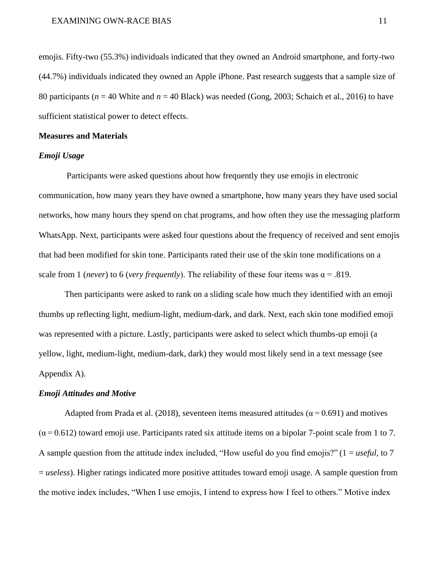emojis. Fifty-two (55.3%) individuals indicated that they owned an Android smartphone, and forty-two (44.7%) individuals indicated they owned an Apple iPhone. Past research suggests that a sample size of 80 participants ( $n = 40$  White and  $n = 40$  Black) was needed (Gong, 2003; Schaich et al., 2016) to have sufficient statistical power to detect effects.

#### **Measures and Materials**

### *Emoji Usage*

Participants were asked questions about how frequently they use emojis in electronic communication, how many years they have owned a smartphone, how many years they have used social networks, how many hours they spend on chat programs, and how often they use the messaging platform WhatsApp. Next, participants were asked four questions about the frequency of received and sent emojis that had been modified for skin tone. Participants rated their use of the skin tone modifications on a scale from 1 (*never*) to 6 (*very frequently*). The reliability of these four items was  $\alpha = .819$ .

Then participants were asked to rank on a sliding scale how much they identified with an emoji thumbs up reflecting light, medium-light, medium-dark, and dark. Next, each skin tone modified emoji was represented with a picture. Lastly, participants were asked to select which thumbs-up emoji (a yellow, light, medium-light, medium-dark, dark) they would most likely send in a text message (see Appendix A).

### *Emoji Attitudes and Motive*

Adapted from Prada et al. (2018), seventeen items measured attitudes ( $\alpha$  = 0.691) and motives  $(\alpha = 0.612)$  toward emoji use. Participants rated six attitude items on a bipolar 7-point scale from 1 to 7. A sample question from the attitude index included, "How useful do you find emojis?" (1 = *useful*, to 7 = *useless*). Higher ratings indicated more positive attitudes toward emoji usage. A sample question from the motive index includes, "When I use emojis, I intend to express how I feel to others." Motive index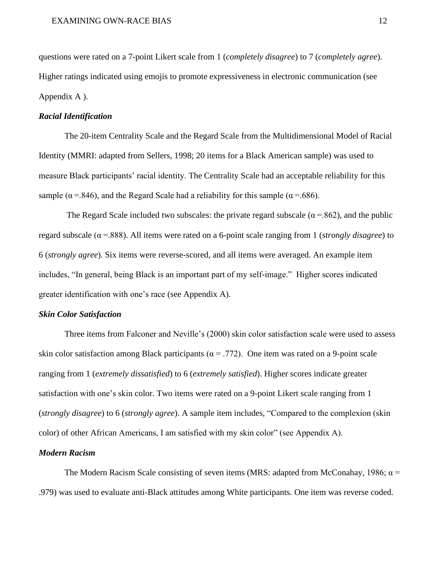questions were rated on a 7-point Likert scale from 1 (*completely disagree*) to 7 (*completely agree*). Higher ratings indicated using emojis to promote expressiveness in electronic communication (see Appendix A ).

### *Racial Identification*

The 20-item Centrality Scale and the Regard Scale from the Multidimensional Model of Racial Identity (MMRI: adapted from Sellers, 1998; 20 items for a Black American sample) was used to measure Black participants' racial identity. The Centrality Scale had an acceptable reliability for this sample ( $\alpha$  = .846), and the Regard Scale had a reliability for this sample ( $\alpha$  = .686).

The Regard Scale included two subscales: the private regard subscale ( $\alpha = .862$ ), and the public regard subscale (α =.888). All items were rated on a 6-point scale ranging from 1 (*strongly disagree*) to 6 (*strongly agree*). Six items were reverse-scored, and all items were averaged. An example item includes, "In general, being Black is an important part of my self-image." Higher scores indicated greater identification with one's race (see Appendix A).

#### *Skin Color Satisfaction*

Three items from Falconer and Neville's (2000) skin color satisfaction scale were used to assess skin color satisfaction among Black participants ( $\alpha = .772$ ). One item was rated on a 9-point scale ranging from 1 (*extremely dissatisfied*) to 6 (*extremely satisfied*). Higher scores indicate greater satisfaction with one's skin color. Two items were rated on a 9-point Likert scale ranging from 1 (*strongly disagree*) to 6 (*strongly agree*). A sample item includes, "Compared to the complexion (skin color) of other African Americans, I am satisfied with my skin color" (see Appendix A).

### *Modern Racism*

The Modern Racism Scale consisting of seven items (MRS: adapted from McConahay, 1986;  $\alpha$  = .979) was used to evaluate anti-Black attitudes among White participants. One item was reverse coded.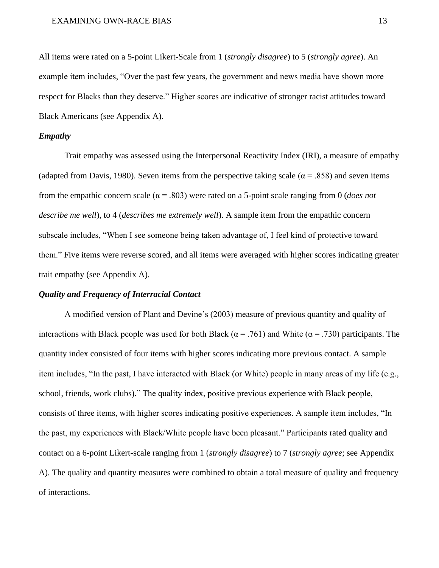All items were rated on a 5-point Likert-Scale from 1 (*strongly disagree*) to 5 (*strongly agree*). An example item includes, "Over the past few years, the government and news media have shown more respect for Blacks than they deserve." Higher scores are indicative of stronger racist attitudes toward Black Americans (see Appendix A).

### *Empathy*

Trait empathy was assessed using the Interpersonal Reactivity Index (IRI), a measure of empathy (adapted from Davis, 1980). Seven items from the perspective taking scale ( $\alpha$  = .858) and seven items from the empathic concern scale ( $\alpha$  = .803) were rated on a 5-point scale ranging from 0 (*does not describe me well*), to 4 (*describes me extremely well*). A sample item from the empathic concern subscale includes, "When I see someone being taken advantage of, I feel kind of protective toward them." Five items were reverse scored, and all items were averaged with higher scores indicating greater trait empathy (see Appendix A).

#### *Quality and Frequency of Interracial Contact*

A modified version of Plant and Devine's (2003) measure of previous quantity and quality of interactions with Black people was used for both Black ( $\alpha$  = .761) and White ( $\alpha$  = .730) participants. The quantity index consisted of four items with higher scores indicating more previous contact. A sample item includes, "In the past, I have interacted with Black (or White) people in many areas of my life (e.g., school, friends, work clubs)." The quality index, positive previous experience with Black people, consists of three items, with higher scores indicating positive experiences. A sample item includes, "In the past, my experiences with Black/White people have been pleasant." Participants rated quality and contact on a 6-point Likert-scale ranging from 1 (*strongly disagree*) to 7 (*strongly agree*; see Appendix A). The quality and quantity measures were combined to obtain a total measure of quality and frequency of interactions.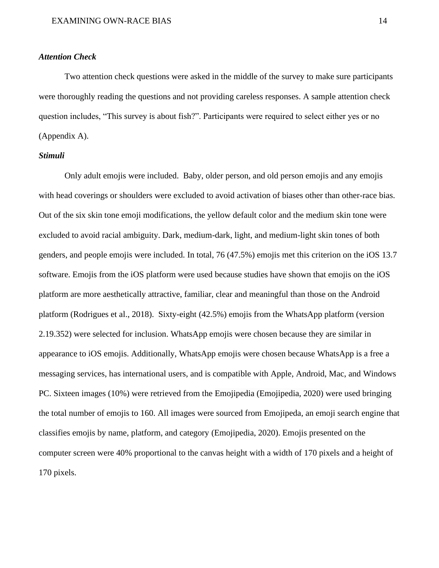### *Attention Check*

Two attention check questions were asked in the middle of the survey to make sure participants were thoroughly reading the questions and not providing careless responses. A sample attention check question includes, "This survey is about fish?". Participants were required to select either yes or no (Appendix A).

### *Stimuli*

Only adult emojis were included. Baby, older person, and old person emojis and any emojis with head coverings or shoulders were excluded to avoid activation of biases other than other-race bias. Out of the six skin tone emoji modifications, the yellow default color and the medium skin tone were excluded to avoid racial ambiguity. Dark, medium-dark, light, and medium-light skin tones of both genders, and people emojis were included. In total, 76 (47.5%) emojis met this criterion on the iOS 13.7 software. Emojis from the iOS platform were used because studies have shown that emojis on the iOS platform are more aesthetically attractive, familiar, clear and meaningful than those on the Android platform (Rodrigues et al., 2018). Sixty-eight (42.5%) emojis from the WhatsApp platform (version 2.19.352) were selected for inclusion. WhatsApp emojis were chosen because they are similar in appearance to iOS emojis. Additionally, WhatsApp emojis were chosen because WhatsApp is a free a messaging services, has international users, and is compatible with Apple, Android, Mac, and Windows PC. Sixteen images (10%) were retrieved from the Emojipedia (Emojipedia, 2020) were used bringing the total number of emojis to 160. All images were sourced from Emojipeda, an emoji search engine that classifies emojis by name, platform, and category (Emojipedia, 2020). Emojis presented on the computer screen were 40% proportional to the canvas height with a width of 170 pixels and a height of 170 pixels.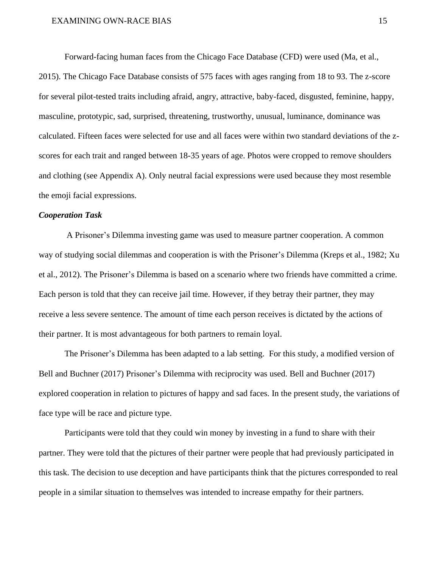Forward-facing human faces from the Chicago Face Database (CFD) were used (Ma, et al., 2015). The Chicago Face Database consists of 575 faces with ages ranging from 18 to 93. The z-score for several pilot-tested traits including afraid, angry, attractive, baby-faced, disgusted, feminine, happy, masculine, prototypic, sad, surprised, threatening, trustworthy, unusual, luminance, dominance was calculated. Fifteen faces were selected for use and all faces were within two standard deviations of the zscores for each trait and ranged between 18-35 years of age. Photos were cropped to remove shoulders and clothing (see Appendix A). Only neutral facial expressions were used because they most resemble the emoji facial expressions.

#### *Cooperation Task*

A Prisoner's Dilemma investing game was used to measure partner cooperation. A common way of studying social dilemmas and cooperation is with the Prisoner's Dilemma (Kreps et al., 1982; Xu et al., 2012). The Prisoner's Dilemma is based on a scenario where two friends have committed a crime. Each person is told that they can receive jail time. However, if they betray their partner, they may receive a less severe sentence. The amount of time each person receives is dictated by the actions of their partner. It is most advantageous for both partners to remain loyal.

The Prisoner's Dilemma has been adapted to a lab setting. For this study, a modified version of Bell and Buchner (2017) Prisoner's Dilemma with reciprocity was used. Bell and Buchner (2017) explored cooperation in relation to pictures of happy and sad faces. In the present study, the variations of face type will be race and picture type.

Participants were told that they could win money by investing in a fund to share with their partner. They were told that the pictures of their partner were people that had previously participated in this task. The decision to use deception and have participants think that the pictures corresponded to real people in a similar situation to themselves was intended to increase empathy for their partners.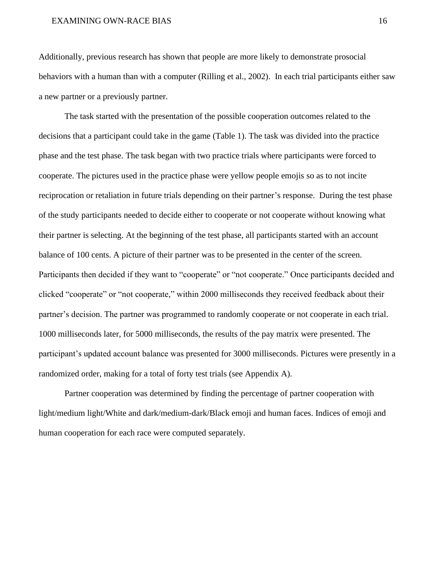Additionally, previous research has shown that people are more likely to demonstrate prosocial behaviors with a human than with a computer (Rilling et al., 2002). In each trial participants either saw a new partner or a previously partner.

The task started with the presentation of the possible cooperation outcomes related to the decisions that a participant could take in the game (Table 1). The task was divided into the practice phase and the test phase. The task began with two practice trials where participants were forced to cooperate. The pictures used in the practice phase were yellow people emojis so as to not incite reciprocation or retaliation in future trials depending on their partner's response. During the test phase of the study participants needed to decide either to cooperate or not cooperate without knowing what their partner is selecting. At the beginning of the test phase, all participants started with an account balance of 100 cents. A picture of their partner was to be presented in the center of the screen. Participants then decided if they want to "cooperate" or "not cooperate." Once participants decided and clicked "cooperate" or "not cooperate," within 2000 milliseconds they received feedback about their partner's decision. The partner was programmed to randomly cooperate or not cooperate in each trial. 1000 milliseconds later, for 5000 milliseconds, the results of the pay matrix were presented. The participant's updated account balance was presented for 3000 milliseconds. Pictures were presently in a randomized order, making for a total of forty test trials (see Appendix A).

Partner cooperation was determined by finding the percentage of partner cooperation with light/medium light/White and dark/medium-dark/Black emoji and human faces. Indices of emoji and human cooperation for each race were computed separately.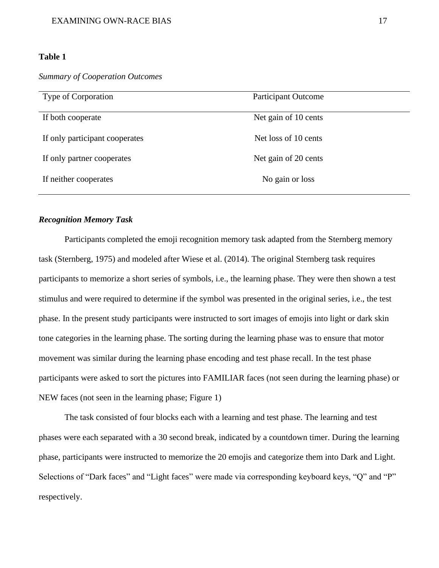## **Table 1**

### *Summary of Cooperation Outcomes*

| Type of Corporation            | <b>Participant Outcome</b> |
|--------------------------------|----------------------------|
| If both cooperate              | Net gain of 10 cents       |
| If only participant cooperates | Net loss of 10 cents       |
| If only partner cooperates     | Net gain of 20 cents       |
| If neither cooperates          | No gain or loss            |

### *Recognition Memory Task*

Participants completed the emoji recognition memory task adapted from the Sternberg memory task (Sternberg, 1975) and modeled after Wiese et al. (2014). The original Sternberg task requires participants to memorize a short series of symbols, i.e., the learning phase. They were then shown a test stimulus and were required to determine if the symbol was presented in the original series, i.e., the test phase. In the present study participants were instructed to sort images of emojis into light or dark skin tone categories in the learning phase. The sorting during the learning phase was to ensure that motor movement was similar during the learning phase encoding and test phase recall. In the test phase participants were asked to sort the pictures into FAMILIAR faces (not seen during the learning phase) or NEW faces (not seen in the learning phase; Figure 1)

The task consisted of four blocks each with a learning and test phase. The learning and test phases were each separated with a 30 second break, indicated by a countdown timer. During the learning phase, participants were instructed to memorize the 20 emojis and categorize them into Dark and Light. Selections of "Dark faces" and "Light faces" were made via corresponding keyboard keys, "O" and "P" respectively.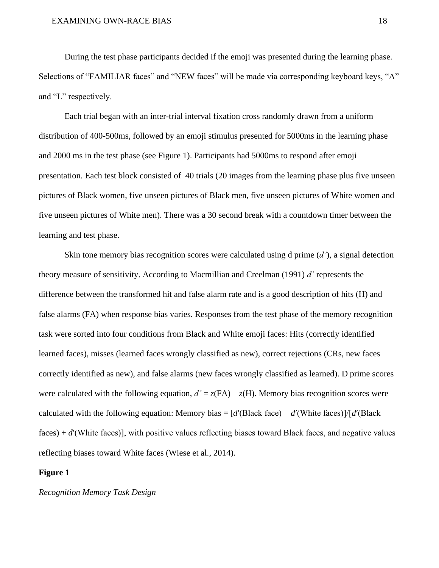During the test phase participants decided if the emoji was presented during the learning phase. Selections of "FAMILIAR faces" and "NEW faces" will be made via corresponding keyboard keys, "A" and "L" respectively.

Each trial began with an inter-trial interval fixation cross randomly drawn from a uniform distribution of 400-500ms, followed by an emoji stimulus presented for 5000ms in the learning phase and 2000 ms in the test phase (see Figure 1). Participants had 5000ms to respond after emoji presentation. Each test block consisted of 40 trials (20 images from the learning phase plus five unseen pictures of Black women, five unseen pictures of Black men, five unseen pictures of White women and five unseen pictures of White men). There was a 30 second break with a countdown timer between the learning and test phase.

Skin tone memory bias recognition scores were calculated using d prime (*d'*), a signal detection theory measure of sensitivity. According to Macmillian and Creelman (1991) *d'* represents the difference between the transformed hit and false alarm rate and is a good description of hits (H) and false alarms (FA) when response bias varies. Responses from the test phase of the memory recognition task were sorted into four conditions from Black and White emoji faces: Hits (correctly identified learned faces), misses (learned faces wrongly classified as new), correct rejections (CRs, new faces correctly identified as new), and false alarms (new faces wrongly classified as learned). D prime scores were calculated with the following equation,  $d' = z(\text{FA}) - z(\text{H})$ . Memory bias recognition scores were calculated with the following equation: Memory bias =  $\frac{d}{(Black}$  face)  $-\frac{d'}{W}$ hite faces)]/ $\frac{d'}{Black}$ faces) + *d*′(White faces)], with positive values reflecting biases toward Black faces, and negative values reflecting biases toward White faces (Wiese et al., 2014).

#### **Figure 1**

### *Recognition Memory Task Design*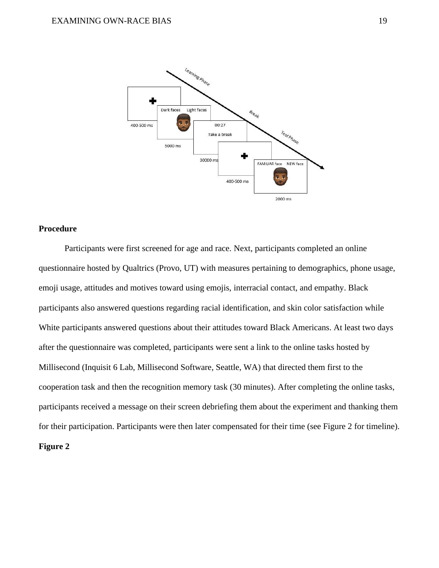

### **Procedure**

Participants were first screened for age and race. Next, participants completed an online questionnaire hosted by Qualtrics (Provo, UT) with measures pertaining to demographics, phone usage, emoji usage, attitudes and motives toward using emojis, interracial contact, and empathy. Black participants also answered questions regarding racial identification, and skin color satisfaction while White participants answered questions about their attitudes toward Black Americans. At least two days after the questionnaire was completed, participants were sent a link to the online tasks hosted by Millisecond (Inquisit 6 Lab, Millisecond Software, Seattle, WA) that directed them first to the cooperation task and then the recognition memory task (30 minutes). After completing the online tasks, participants received a message on their screen debriefing them about the experiment and thanking them for their participation. Participants were then later compensated for their time (see Figure 2 for timeline).

## **Figure 2**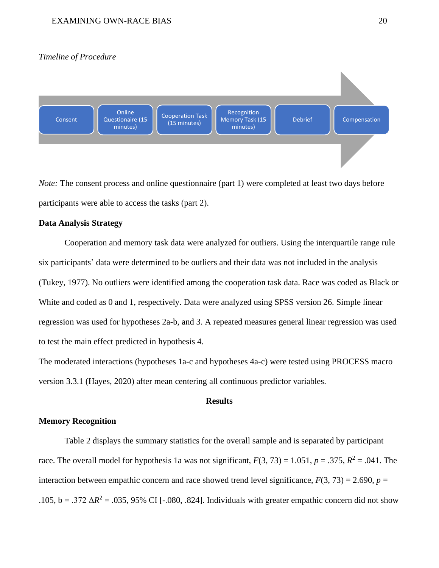### *Timeline of Procedure*



*Note:* The consent process and online questionnaire (part 1) were completed at least two days before participants were able to access the tasks (part 2).

### **Data Analysis Strategy**

Cooperation and memory task data were analyzed for outliers. Using the interquartile range rule six participants' data were determined to be outliers and their data was not included in the analysis (Tukey, 1977). No outliers were identified among the cooperation task data. Race was coded as Black or White and coded as 0 and 1, respectively. Data were analyzed using SPSS version 26. Simple linear regression was used for hypotheses 2a-b, and 3. A repeated measures general linear regression was used to test the main effect predicted in hypothesis 4.

The moderated interactions (hypotheses 1a-c and hypotheses 4a-c) were tested using PROCESS macro version 3.3.1 (Hayes, 2020) after mean centering all continuous predictor variables.

### **Results**

### **Memory Recognition**

Table 2 displays the summary statistics for the overall sample and is separated by participant race. The overall model for hypothesis 1a was not significant,  $F(3, 73) = 1.051$ ,  $p = .375$ ,  $R^2 = .041$ . The interaction between empathic concern and race showed trend level significance,  $F(3, 73) = 2.690$ ,  $p =$ .105,  $b = .372 \Delta R^2 = .035$ , 95% CI [-.080, .824]. Individuals with greater empathic concern did not show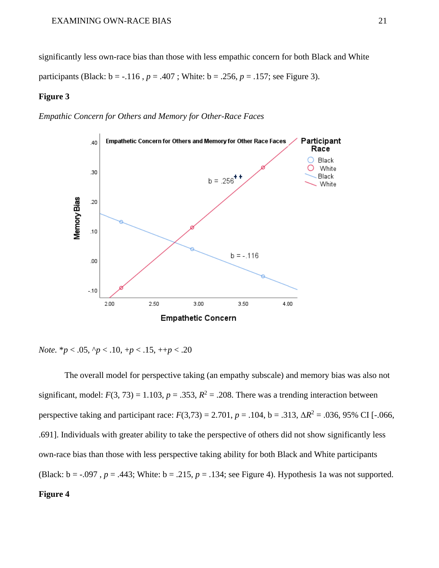significantly less own-race bias than those with less empathic concern for both Black and White participants (Black: b = -.116 , *p* = .407 ; White: b = .256, *p* = .157; see Figure 3).

### **Figure 3**

*Empathic Concern for Others and Memory for Other-Race Faces* 



*Note.* \**p* < .05, ^*p* < .10, +*p* < .15, ++*p* < .20

The overall model for perspective taking (an empathy subscale) and memory bias was also not significant, model:  $F(3, 73) = 1.103$ ,  $p = .353$ ,  $R^2 = .208$ . There was a trending interaction between perspective taking and participant race:  $F(3,73) = 2.701$ ,  $p = .104$ ,  $b = .313$ ,  $\Delta R^2 = .036$ , 95% CI [-.066, .691]. Individuals with greater ability to take the perspective of others did not show significantly less own-race bias than those with less perspective taking ability for both Black and White participants (Black:  $b = -0.097$ ,  $p = .443$ ; White:  $b = .215$ ,  $p = .134$ ; see Figure 4). Hypothesis 1a was not supported. **Figure 4**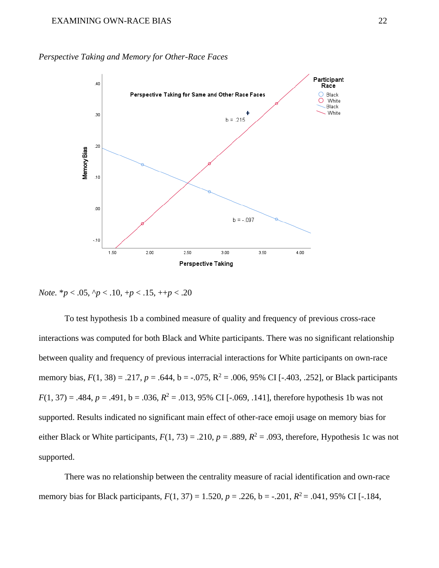

Perspective Taking

*Perspective Taking and Memory for Other-Race Faces* 

*Note.*  $* p < .05$ ,  $^h p < .10$ ,  $+p < .15$ ,  $++ p < .20$ 

To test hypothesis 1b a combined measure of quality and frequency of previous cross-race interactions was computed for both Black and White participants. There was no significant relationship between quality and frequency of previous interracial interactions for White participants on own-race memory bias,  $F(1, 38) = .217$ ,  $p = .644$ ,  $b = -.075$ ,  $R^2 = .006$ , 95% CI [-.403, .252], or Black participants  $F(1, 37) = .484$ ,  $p = .491$ ,  $b = .036$ ,  $R^2 = .013$ , 95% CI [-.069, .141], therefore hypothesis 1b was not supported. Results indicated no significant main effect of other-race emoji usage on memory bias for either Black or White participants,  $F(1, 73) = .210$ ,  $p = .889$ ,  $R^2 = .093$ , therefore, Hypothesis 1c was not supported.

There was no relationship between the centrality measure of racial identification and own-race memory bias for Black participants,  $F(1, 37) = 1.520$ ,  $p = .226$ ,  $b = -.201$ ,  $R^2 = .041$ , 95% CI [-.184,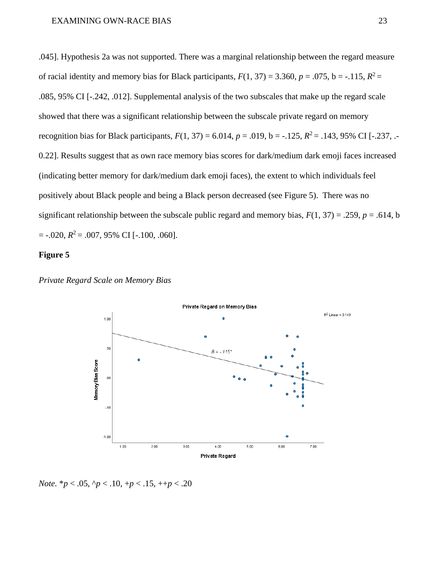.045]. Hypothesis 2a was not supported. There was a marginal relationship between the regard measure of racial identity and memory bias for Black participants,  $F(1, 37) = 3.360$ ,  $p = .075$ ,  $b = -.115$ ,  $R^2 =$ .085, 95% CI [-.242, .012]. Supplemental analysis of the two subscales that make up the regard scale showed that there was a significant relationship between the subscale private regard on memory recognition bias for Black participants,  $F(1, 37) = 6.014$ ,  $p = .019$ ,  $b = -.125$ ,  $R^2 = .143$ , 95% CI [-.237, .-0.22]. Results suggest that as own race memory bias scores for dark/medium dark emoji faces increased (indicating better memory for dark/medium dark emoji faces), the extent to which individuals feel positively about Black people and being a Black person decreased (see Figure 5). There was no significant relationship between the subscale public regard and memory bias,  $F(1, 37) = .259$ ,  $p = .614$ , b  $=$  -.020,  $R^2$  = .007, 95% CI [-.100, .060].

#### **Figure 5**





*Note.*  $* p < .05$ ,  $\gamma p < .10$ ,  $+p < .15$ ,  $++ p < .20$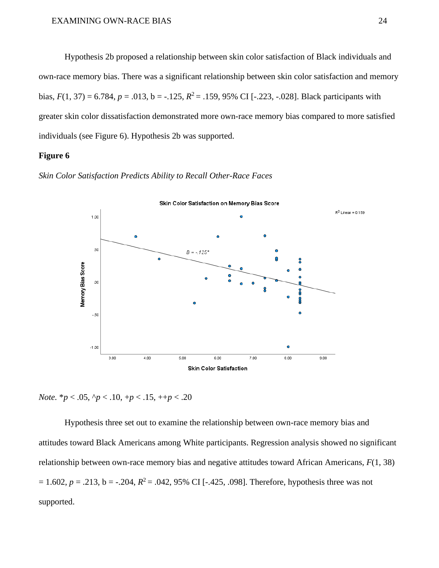Hypothesis 2b proposed a relationship between skin color satisfaction of Black individuals and own-race memory bias. There was a significant relationship between skin color satisfaction and memory bias,  $F(1, 37) = 6.784$ ,  $p = .013$ ,  $b = -.125$ ,  $R^2 = .159$ , 95% CI [-.223, -.028]. Black participants with greater skin color dissatisfaction demonstrated more own-race memory bias compared to more satisfied individuals (see Figure 6). Hypothesis 2b was supported.

### **Figure 6**





*Note.* \**p* < .05, ^*p* < .10, +*p* < .15, ++*p* < .20

Hypothesis three set out to examine the relationship between own-race memory bias and attitudes toward Black Americans among White participants. Regression analysis showed no significant relationship between own-race memory bias and negative attitudes toward African Americans, *F*(1, 38)  $= 1.602, p = .213, b = -.204, R<sup>2</sup> = .042, 95\% \text{ CI}$  [-.425, .098]. Therefore, hypothesis three was not supported.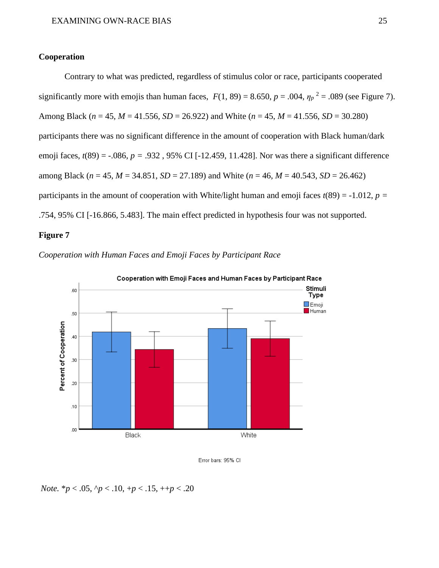## **Cooperation**

Contrary to what was predicted, regardless of stimulus color or race, participants cooperated significantly more with emojis than human faces,  $F(1, 89) = 8.650$ ,  $p = .004$ ,  $\eta_p^2 = .089$  (see Figure 7). Among Black (*n* = 45, *M* = 41.556, *SD* = 26.922) and White (*n* = 45, *M* = 41.556, *SD* = 30.280) participants there was no significant difference in the amount of cooperation with Black human/dark emoji faces, *t*(89) = -.086, *p =* .932 , 95% CI [-12.459, 11.428]. Nor was there a significant difference among Black ( $n = 45$ ,  $M = 34.851$ ,  $SD = 27.189$ ) and White ( $n = 46$ ,  $M = 40.543$ ,  $SD = 26.462$ ) participants in the amount of cooperation with White/light human and emoji faces  $t(89) = -1.012$ ,  $p =$ .754, 95% CI [-16.866, 5.483]. The main effect predicted in hypothesis four was not supported.

## **Figure 7**

*Cooperation with Human Faces and Emoji Faces by Participant Race*



Error bars: 95% CI

*Note.*  $* p < .05$ ,  $^p > .10$ ,  $+p < .15$ ,  $++ p < .20$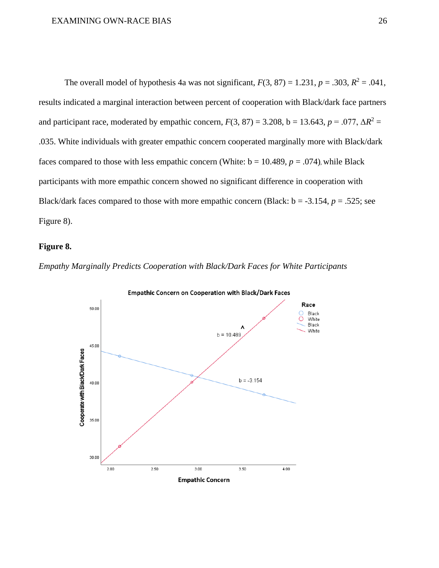The overall model of hypothesis 4a was not significant,  $F(3, 87) = 1.231$ ,  $p = .303$ ,  $R^2 = .041$ , results indicated a marginal interaction between percent of cooperation with Black/dark face partners and participant race, moderated by empathic concern,  $F(3, 87) = 3.208$ ,  $b = 13.643$ ,  $p = .077$ ,  $\Delta R^2 =$ .035. White individuals with greater empathic concern cooperated marginally more with Black/dark faces compared to those with less empathic concern (White:  $b = 10.489$ ,  $p = .074$ ), while Black participants with more empathic concern showed no significant difference in cooperation with Black/dark faces compared to those with more empathic concern (Black:  $b = -3.154$ ,  $p = .525$ ; see Figure 8).

### **Figure 8.**



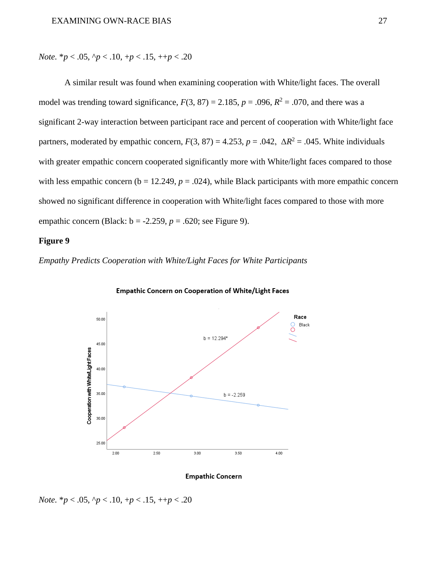*Note.*  $*_{p}$  < .05,  $\gamma_{p}$  < .10,  $+p$  < .15,  $++_{p}$  < .20

A similar result was found when examining cooperation with White/light faces. The overall model was trending toward significance,  $F(3, 87) = 2.185$ ,  $p = .096$ ,  $R^2 = .070$ , and there was a significant 2-way interaction between participant race and percent of cooperation with White/light face partners, moderated by empathic concern,  $F(3, 87) = 4.253$ ,  $p = .042$ ,  $\Delta R^2 = .045$ . White individuals with greater empathic concern cooperated significantly more with White/light faces compared to those with less empathic concern ( $b = 12.249$ ,  $p = .024$ ), while Black participants with more empathic concern showed no significant difference in cooperation with White/light faces compared to those with more empathic concern (Black:  $b = -2.259$ ,  $p = .620$ ; see Figure 9).

## **Figure 9**

*Empathy Predicts Cooperation with White/Light Faces for White Participants* 



Empathic Concern on Cooperation of White/Light Faces

**Empathic Concern** 

*Note.*  $* p < .05$ ,  $\gamma p < .10$ ,  $+p < .15$ ,  $++ p < .20$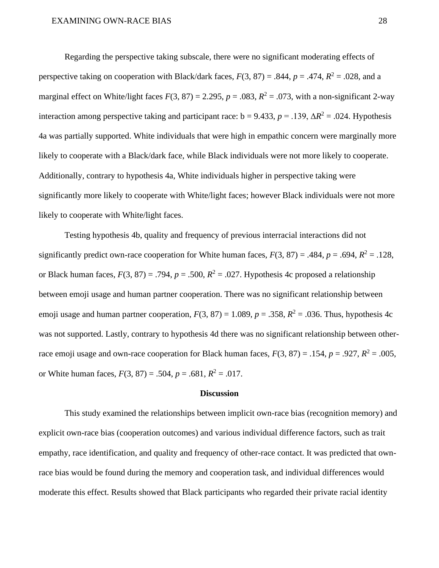Regarding the perspective taking subscale, there were no significant moderating effects of perspective taking on cooperation with Black/dark faces,  $F(3, 87) = .844$ ,  $p = .474$ ,  $R^2 = .028$ , and a marginal effect on White/light faces  $F(3, 87) = 2.295$ ,  $p = .083$ ,  $R^2 = .073$ , with a non-significant 2-way interaction among perspective taking and participant race:  $b = 9.433$ ,  $p = .139$ ,  $\Delta R^2 = .024$ . Hypothesis 4a was partially supported. White individuals that were high in empathic concern were marginally more likely to cooperate with a Black/dark face, while Black individuals were not more likely to cooperate. Additionally, contrary to hypothesis 4a, White individuals higher in perspective taking were significantly more likely to cooperate with White/light faces; however Black individuals were not more likely to cooperate with White/light faces.

Testing hypothesis 4b, quality and frequency of previous interracial interactions did not significantly predict own-race cooperation for White human faces,  $F(3, 87) = .484$ ,  $p = .694$ ,  $R^2 = .128$ , or Black human faces,  $F(3, 87) = .794$ ,  $p = .500$ ,  $R^2 = .027$ . Hypothesis 4c proposed a relationship between emoji usage and human partner cooperation. There was no significant relationship between emoji usage and human partner cooperation,  $F(3, 87) = 1.089$ ,  $p = .358$ ,  $R^2 = .036$ . Thus, hypothesis 4c was not supported. Lastly, contrary to hypothesis 4d there was no significant relationship between otherrace emoji usage and own-race cooperation for Black human faces,  $F(3, 87) = .154$ ,  $p = .927$ ,  $R^2 = .005$ , or White human faces,  $F(3, 87) = .504$ ,  $p = .681$ ,  $R^2 = .017$ .

#### **Discussion**

This study examined the relationships between implicit own-race bias (recognition memory) and explicit own-race bias (cooperation outcomes) and various individual difference factors, such as trait empathy, race identification, and quality and frequency of other-race contact. It was predicted that ownrace bias would be found during the memory and cooperation task, and individual differences would moderate this effect. Results showed that Black participants who regarded their private racial identity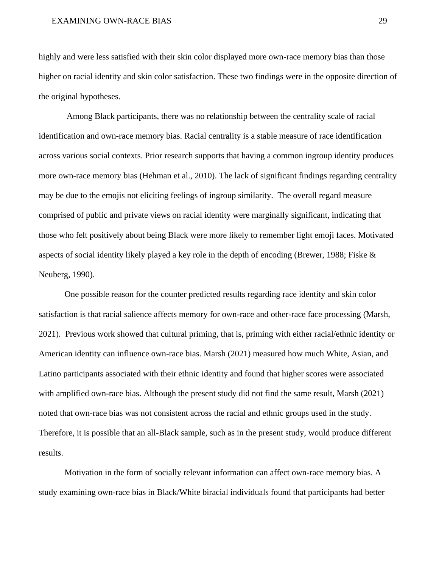highly and were less satisfied with their skin color displayed more own-race memory bias than those higher on racial identity and skin color satisfaction. These two findings were in the opposite direction of the original hypotheses.

Among Black participants, there was no relationship between the centrality scale of racial identification and own-race memory bias. Racial centrality is a stable measure of race identification across various social contexts. Prior research supports that having a common ingroup identity produces more own-race memory bias (Hehman et al., 2010). The lack of significant findings regarding centrality may be due to the emojis not eliciting feelings of ingroup similarity. The overall regard measure comprised of public and private views on racial identity were marginally significant, indicating that those who felt positively about being Black were more likely to remember light emoji faces. Motivated aspects of social identity likely played a key role in the depth of encoding (Brewer, 1988; Fiske & Neuberg, 1990).

One possible reason for the counter predicted results regarding race identity and skin color satisfaction is that racial salience affects memory for own-race and other-race face processing (Marsh, 2021). Previous work showed that cultural priming, that is, priming with either racial/ethnic identity or American identity can influence own-race bias. Marsh (2021) measured how much White, Asian, and Latino participants associated with their ethnic identity and found that higher scores were associated with amplified own-race bias. Although the present study did not find the same result, Marsh (2021) noted that own-race bias was not consistent across the racial and ethnic groups used in the study. Therefore, it is possible that an all-Black sample, such as in the present study, would produce different results.

Motivation in the form of socially relevant information can affect own-race memory bias. A study examining own-race bias in Black/White biracial individuals found that participants had better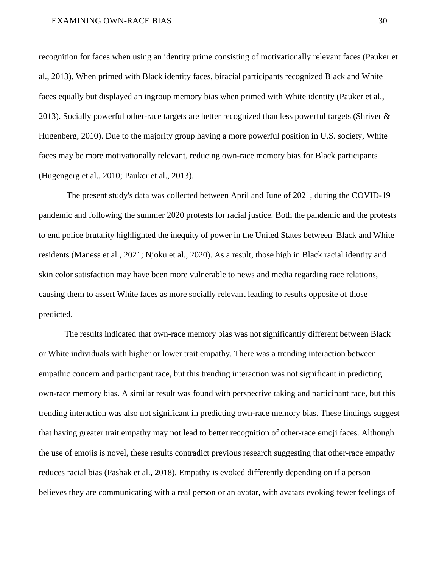recognition for faces when using an identity prime consisting of motivationally relevant faces (Pauker et al., 2013). When primed with Black identity faces, biracial participants recognized Black and White faces equally but displayed an ingroup memory bias when primed with White identity (Pauker et al., 2013). Socially powerful other-race targets are better recognized than less powerful targets (Shriver & Hugenberg, 2010). Due to the majority group having a more powerful position in U.S. society, White faces may be more motivationally relevant, reducing own-race memory bias for Black participants (Hugengerg et al., 2010; Pauker et al., 2013).

The present study's data was collected between April and June of 2021, during the COVID-19 pandemic and following the summer 2020 protests for racial justice. Both the pandemic and the protests to end police brutality highlighted the inequity of power in the United States between Black and White residents (Maness et al., 2021; Njoku et al., 2020). As a result, those high in Black racial identity and skin color satisfaction may have been more vulnerable to news and media regarding race relations, causing them to assert White faces as more socially relevant leading to results opposite of those predicted.

The results indicated that own-race memory bias was not significantly different between Black or White individuals with higher or lower trait empathy. There was a trending interaction between empathic concern and participant race, but this trending interaction was not significant in predicting own-race memory bias. A similar result was found with perspective taking and participant race, but this trending interaction was also not significant in predicting own-race memory bias. These findings suggest that having greater trait empathy may not lead to better recognition of other-race emoji faces. Although the use of emojis is novel, these results contradict previous research suggesting that other-race empathy reduces racial bias (Pashak et al., 2018). Empathy is evoked differently depending on if a person believes they are communicating with a real person or an avatar, with avatars evoking fewer feelings of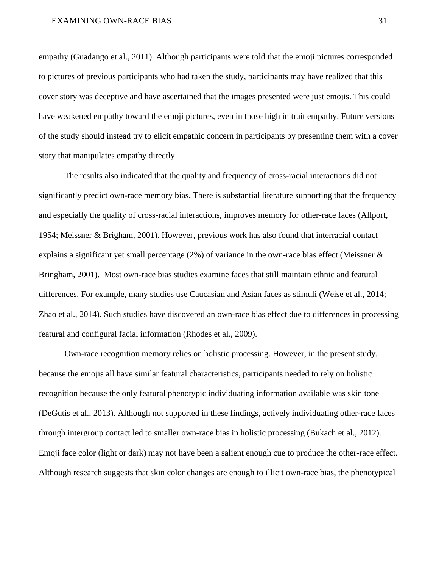empathy (Guadango et al., 2011). Although participants were told that the emoji pictures corresponded to pictures of previous participants who had taken the study, participants may have realized that this cover story was deceptive and have ascertained that the images presented were just emojis. This could have weakened empathy toward the emoji pictures, even in those high in trait empathy. Future versions of the study should instead try to elicit empathic concern in participants by presenting them with a cover story that manipulates empathy directly.

The results also indicated that the quality and frequency of cross-racial interactions did not significantly predict own-race memory bias. There is substantial literature supporting that the frequency and especially the quality of cross-racial interactions, improves memory for other-race faces (Allport, 1954; Meissner & Brigham, 2001). However, previous work has also found that interracial contact explains a significant yet small percentage (2%) of variance in the own-race bias effect (Meissner & Bringham, 2001). Most own-race bias studies examine faces that still maintain ethnic and featural differences. For example, many studies use Caucasian and Asian faces as stimuli (Weise et al., 2014; Zhao et al., 2014). Such studies have discovered an own-race bias effect due to differences in processing featural and configural facial information (Rhodes et al., 2009).

Own-race recognition memory relies on holistic processing. However, in the present study, because the emojis all have similar featural characteristics, participants needed to rely on holistic recognition because the only featural phenotypic individuating information available was skin tone (DeGutis et al., 2013). Although not supported in these findings, actively individuating other-race faces through intergroup contact led to smaller own-race bias in holistic processing (Bukach et al., 2012). Emoji face color (light or dark) may not have been a salient enough cue to produce the other-race effect. Although research suggests that skin color changes are enough to illicit own-race bias, the phenotypical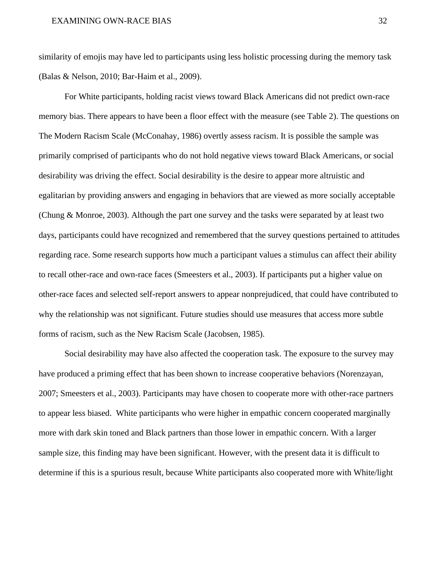similarity of emojis may have led to participants using less holistic processing during the memory task (Balas & Nelson, 2010; Bar-Haim et al., 2009).

For White participants, holding racist views toward Black Americans did not predict own-race memory bias. There appears to have been a floor effect with the measure (see Table 2). The questions on The Modern Racism Scale (McConahay, 1986) overtly assess racism. It is possible the sample was primarily comprised of participants who do not hold negative views toward Black Americans, or social desirability was driving the effect. Social desirability is the desire to appear more altruistic and egalitarian by providing answers and engaging in behaviors that are viewed as more socially acceptable (Chung & Monroe, 2003). Although the part one survey and the tasks were separated by at least two days, participants could have recognized and remembered that the survey questions pertained to attitudes regarding race. Some research supports how much a participant values a stimulus can affect their ability to recall other-race and own-race faces (Smeesters et al., 2003). If participants put a higher value on other-race faces and selected self-report answers to appear nonprejudiced, that could have contributed to why the relationship was not significant. Future studies should use measures that access more subtle forms of racism, such as the New Racism Scale (Jacobsen, 1985).

Social desirability may have also affected the cooperation task. The exposure to the survey may have produced a priming effect that has been shown to increase cooperative behaviors (Norenzayan, 2007; Smeesters et al., 2003). Participants may have chosen to cooperate more with other-race partners to appear less biased. White participants who were higher in empathic concern cooperated marginally more with dark skin toned and Black partners than those lower in empathic concern. With a larger sample size, this finding may have been significant. However, with the present data it is difficult to determine if this is a spurious result, because White participants also cooperated more with White/light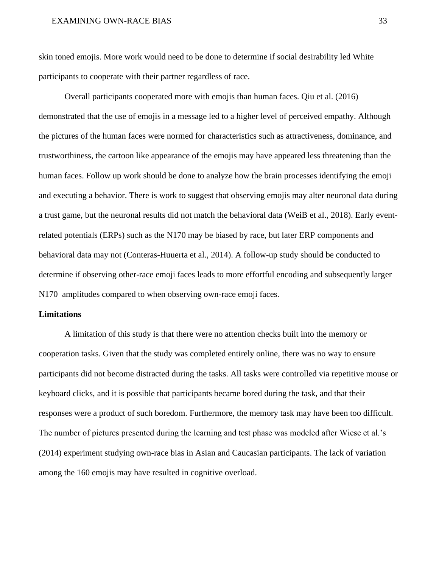skin toned emojis. More work would need to be done to determine if social desirability led White participants to cooperate with their partner regardless of race.

Overall participants cooperated more with emojis than human faces. Qiu et al. (2016) demonstrated that the use of emojis in a message led to a higher level of perceived empathy. Although the pictures of the human faces were normed for characteristics such as attractiveness, dominance, and trustworthiness, the cartoon like appearance of the emojis may have appeared less threatening than the human faces. Follow up work should be done to analyze how the brain processes identifying the emoji and executing a behavior. There is work to suggest that observing emojis may alter neuronal data during a trust game, but the neuronal results did not match the behavioral data (WeiB et al., 2018). Early eventrelated potentials (ERPs) such as the N170 may be biased by race, but later ERP components and behavioral data may not (Conteras-Huuerta et al., 2014). A follow-up study should be conducted to determine if observing other-race emoji faces leads to more effortful encoding and subsequently larger N170 amplitudes compared to when observing own-race emoji faces.

#### **Limitations**

A limitation of this study is that there were no attention checks built into the memory or cooperation tasks. Given that the study was completed entirely online, there was no way to ensure participants did not become distracted during the tasks. All tasks were controlled via repetitive mouse or keyboard clicks, and it is possible that participants became bored during the task, and that their responses were a product of such boredom. Furthermore, the memory task may have been too difficult. The number of pictures presented during the learning and test phase was modeled after Wiese et al.'s (2014) experiment studying own-race bias in Asian and Caucasian participants. The lack of variation among the 160 emojis may have resulted in cognitive overload.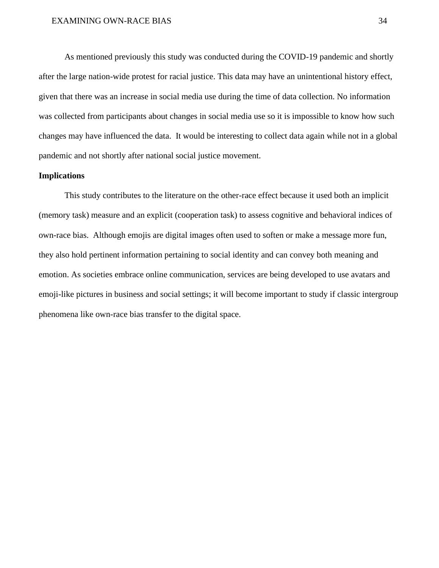As mentioned previously this study was conducted during the COVID-19 pandemic and shortly after the large nation-wide protest for racial justice. This data may have an unintentional history effect, given that there was an increase in social media use during the time of data collection. No information was collected from participants about changes in social media use so it is impossible to know how such changes may have influenced the data. It would be interesting to collect data again while not in a global pandemic and not shortly after national social justice movement.

#### **Implications**

This study contributes to the literature on the other-race effect because it used both an implicit (memory task) measure and an explicit (cooperation task) to assess cognitive and behavioral indices of own-race bias. Although emojis are digital images often used to soften or make a message more fun, they also hold pertinent information pertaining to social identity and can convey both meaning and emotion. As societies embrace online communication, services are being developed to use avatars and emoji-like pictures in business and social settings; it will become important to study if classic intergroup phenomena like own-race bias transfer to the digital space.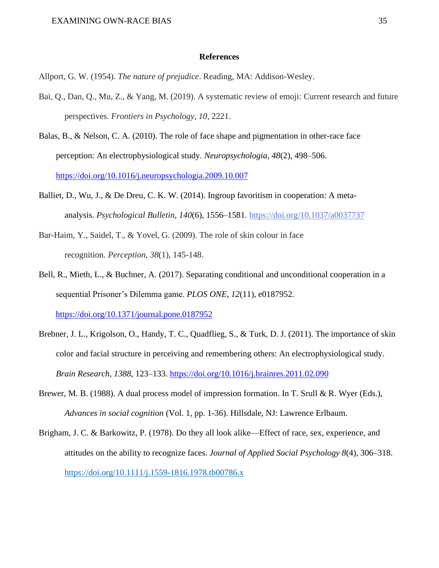#### **References**

- Allport, G. W. (1954). *The nature of prejudice*. Reading, MA: Addison-Wesley.
- Bai, Q., Dan, Q., Mu, Z., & Yang, M. (2019). A systematic review of emoji: Current research and future perspectives. *Frontiers in Psychology*, *10*, 2221.
- Balas, B., & Nelson, C. A. (2010). The role of face shape and pigmentation in other-race face perception: An electrophysiological study. *Neuropsychologia*, *48*(2), 498–506. <https://doi.org/10.1016/j.neuropsychologia.2009.10.007>
- Balliet, D., Wu, J., & De Dreu, C. K. W. (2014). Ingroup favoritism in cooperation: A metaanalysis. *Psychological Bulletin*, *140*(6), 1556–1581. <https://doi.org/10.1037/a0037737>
- Bar-Haim, Y., Saidel, T., & Yovel, G. (2009). The role of skin colour in face recognition. *Perception*, *38*(1), 145-148.
- Bell, R., Mieth, L., & Buchner, A. (2017). Separating conditional and unconditional cooperation in a sequential Prisoner's Dilemma game. *PLOS ONE*, *12*(11), e0187952. <https://doi.org/10.1371/journal.pone.0187952>
- Brebner, J. L., Krigolson, O., Handy, T. C., Quadflieg, S., & Turk, D. J. (2011). The importance of skin color and facial structure in perceiving and remembering others: An electrophysiological study. *Brain Research*, *1388*, 123–133.<https://doi.org/10.1016/j.brainres.2011.02.090>
- Brewer, M. B. (1988). A dual process model of impression formation. In T. Srull & R. Wyer (Eds.), *Advances in social cognition* (Vol. 1, pp. 1-36). Hillsdale, NJ: Lawrence Erlbaum.
- Brigham, J. C. & Barkowitz, P. (1978). Do they all look alike—Effect of race, sex, experience, and attitudes on the ability to recognize faces. *Journal of Applied Social Psychology 8*(4), 306–318. <https://doi.org/10.1111/j.1559-1816.1978.tb00786.x>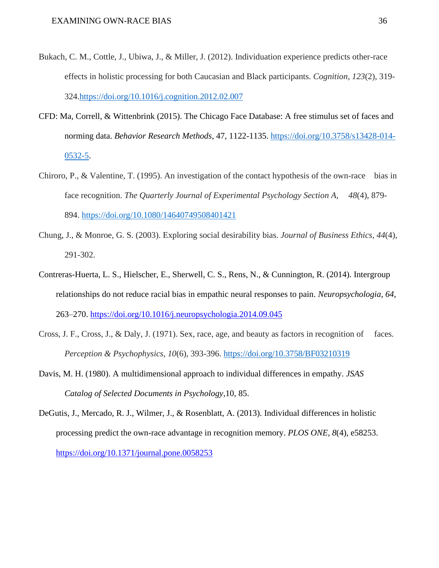- Bukach, C. M., Cottle, J., Ubiwa, J., & Miller, J. (2012). Individuation experience predicts other-race effects in holistic processing for both Caucasian and Black participants. *Cognition*, *123*(2), 319- 324[.https://doi.org/10.1016/j.cognition.2012.02.007](https://doi.org/10.1016/j.cognition.2012.02.007)
- CFD: Ma, Correll, & Wittenbrink (2015). The Chicago Face Database: A free stimulus set of faces and norming data. *Behavior Research Methods*, 47, 1122-1135. [https://doi.org/10.3758/s13428-014-](https://doi.org/10.3758/s13428-014-0532-5) [0532-5.](https://doi.org/10.3758/s13428-014-0532-5)
- Chiroro, P., & Valentine, T. (1995). An investigation of the contact hypothesis of the own-race bias in face recognition. *The Quarterly Journal of Experimental Psychology Section A*, *48*(4), 879- 894. [https://doi.org/10.1080/14640749508401421](https://doi.org/10.1080%2F14640749508401421)
- Chung, J., & Monroe, G. S. (2003). Exploring social desirability bias. *Journal of Business Ethics*, *44*(4), 291-302.
- Contreras-Huerta, L. S., Hielscher, E., Sherwell, C. S., Rens, N., & Cunnington, R. (2014). Intergroup relationships do not reduce racial bias in empathic neural responses to pain. *Neuropsychologia*, *64*, 263–270.<https://doi.org/10.1016/j.neuropsychologia.2014.09.045>
- Cross, J. F., Cross, J., & Daly, J. (1971). Sex, race, age, and beauty as factors in recognition of faces. *Perception & Psychophysics*, *10*(6), 393-396.<https://doi.org/10.3758/BF03210319>
- Davis, M. H. (1980). A multidimensional approach to individual differences in empathy. *JSAS Catalog of Selected Documents in Psychology,*10, 85.
- DeGutis, J., Mercado, R. J., Wilmer, J., & Rosenblatt, A. (2013). Individual differences in holistic processing predict the own-race advantage in recognition memory. *PLOS ONE*, *8*(4), e58253. <https://doi.org/10.1371/journal.pone.0058253>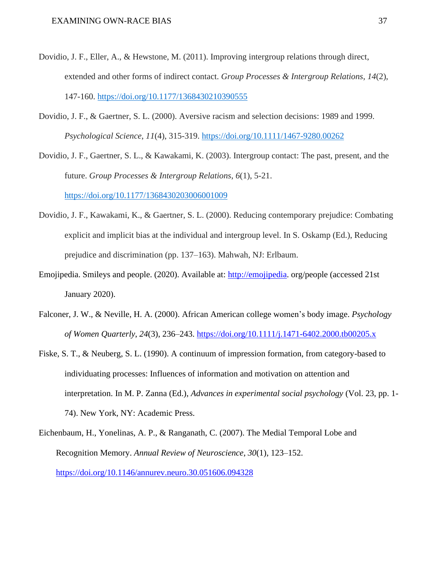- Dovidio, J. F., Eller, A., & Hewstone, M. (2011). Improving intergroup relations through direct, extended and other forms of indirect contact. *Group Processes & Intergroup Relations*, *14*(2), 147-160. [https://doi.org/10.1177/1368430210390555](https://doi.org/10.1177%2F1368430210390555)
- Dovidio, J. F., & Gaertner, S. L. (2000). Aversive racism and selection decisions: 1989 and 1999. *Psychological Science*, *11*(4), 315-319. [https://doi.org/10.1111/1467-9280.00262](https://doi.org/10.1111%2F1467-9280.00262)

Dovidio, J. F., Gaertner, S. L., & Kawakami, K. (2003). Intergroup contact: The past, present, and the future. *Group Processes & Intergroup Relations*, *6*(1), 5-21. [https://doi.org/10.1177/1368430203006001009](https://doi.org/10.1177%2F1368430203006001009)

- Dovidio, J. F., Kawakami, K., & Gaertner, S. L. (2000). Reducing contemporary prejudice: Combating explicit and implicit bias at the individual and intergroup level. In S. Oskamp (Ed.), Reducing prejudice and discrimination (pp. 137–163). Mahwah, NJ: Erlbaum.
- Emojipedia. Smileys and people. (2020). Available at: [http://emojipedia.](http://emojipedia/) org/people (accessed 21st January 2020).
- Falconer, J. W., & Neville, H. A. (2000). African American college women's body image. *Psychology of Women Quarterly*, *24*(3), 236–243.<https://doi.org/10.1111/j.1471-6402.2000.tb00205.x>
- Fiske, S. T., & Neuberg, S. L. (1990). A continuum of impression formation, from category-based to individuating processes: Influences of information and motivation on attention and interpretation. In M. P. Zanna (Ed.), *Advances in experimental social psychology* (Vol. 23, pp. 1- 74). New York, NY: Academic Press.
- Eichenbaum, H., Yonelinas, A. P., & Ranganath, C. (2007). The Medial Temporal Lobe and Recognition Memory. *Annual Review of Neuroscience*, *30*(1), 123–152. <https://doi.org/10.1146/annurev.neuro.30.051606.094328>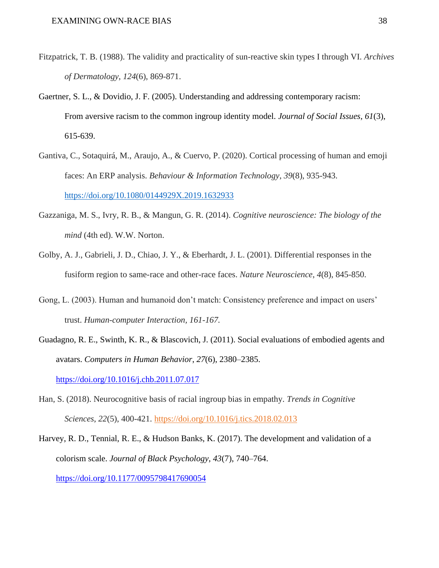- Fitzpatrick, T. B. (1988). The validity and practicality of sun-reactive skin types I through VI. *Archives of Dermatology*, *124*(6), 869-871.
- Gaertner, S. L., & Dovidio, J. F. (2005). Understanding and addressing contemporary racism: From aversive racism to the common ingroup identity model. *Journal of Social Issues*, *61*(3), 615-639.
- Gantiva, C., Sotaquirá, M., Araujo, A., & Cuervo, P. (2020). Cortical processing of human and emoji faces: An ERP analysis. *Behaviour & Information Technology*, *39*(8), 935-943. <https://doi.org/10.1080/0144929X.2019.1632933>
- Gazzaniga, M. S., Ivry, R. B., & Mangun, G. R. (2014). *Cognitive neuroscience: The biology of the mind* (4th ed). W.W. Norton.
- Golby, A. J., Gabrieli, J. D., Chiao, J. Y., & Eberhardt, J. L. (2001). Differential responses in the fusiform region to same-race and other-race faces. *Nature Neuroscience*, *4*(8), 845-850.
- Gong, L. (2003). Human and humanoid don't match: Consistency preference and impact on users' trust. *Human-computer Interaction, 161-167.*
- Guadagno, R. E., Swinth, K. R., & Blascovich, J. (2011). Social evaluations of embodied agents and avatars. *Computers in Human Behavior*, *27*(6), 2380–2385. <https://doi.org/10.1016/j.chb.2011.07.017>
- Han, S. (2018). Neurocognitive basis of racial ingroup bias in empathy. *Trends in Cognitive Sciences*, *22*(5), 400-421.<https://doi.org/10.1016/j.tics.2018.02.013>
- Harvey, R. D., Tennial, R. E., & Hudson Banks, K. (2017). The development and validation of a colorism scale. *Journal of Black Psychology*, *43*(7), 740–764. <https://doi.org/10.1177/0095798417690054>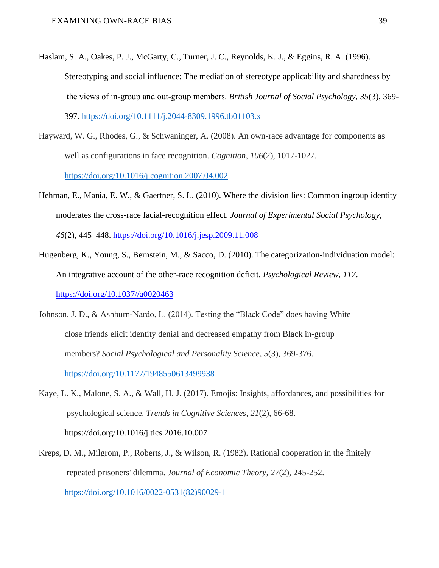- Haslam, S. A., Oakes, P. J., McGarty, C., Turner, J. C., Reynolds, K. J., & Eggins, R. A. (1996). Stereotyping and social influence: The mediation of stereotype applicability and sharedness by the views of in‐group and out‐group members. *British Journal of Social Psychology*, *35*(3), 369- 397.<https://doi.org/10.1111/j.2044-8309.1996.tb01103.x>
- Hayward, W. G., Rhodes, G., & Schwaninger, A. (2008). An own-race advantage for components as well as configurations in face recognition. *Cognition*, *106*(2), 1017-1027. <https://doi.org/10.1016/j.cognition.2007.04.002>
- Hehman, E., Mania, E. W., & Gaertner, S. L. (2010). Where the division lies: Common ingroup identity moderates the cross-race facial-recognition effect. *Journal of Experimental Social Psychology*, *46*(2), 445–448.<https://doi.org/10.1016/j.jesp.2009.11.008>
- Hugenberg, K., Young, S., Bernstein, M., & Sacco, D. (2010). The categorization-individuation model: An integrative account of the other-race recognition deficit. *Psychological Review*, *117*. [https://doi.org/10.1037//a0020463](https://doi.org/10.1037/a0020463)
- Johnson, J. D., & Ashburn-Nardo, L. (2014). Testing the "Black Code" does having White close friends elicit identity denial and decreased empathy from Black in-group members? *Social Psychological and Personality Science*, *5*(3), 369-376. [https://doi.org/10.1177/1948550613499938](https://doi.org/10.1177%2F1948550613499938)
- Kaye, L. K., Malone, S. A., & Wall, H. J. (2017). Emojis: Insights, affordances, and possibilities for psychological science. *Trends in Cognitive Sciences*, *21*(2), 66-68. <https://doi.org/10.1016/j.tics.2016.10.007>
- Kreps, D. M., Milgrom, P., Roberts, J., & Wilson, R. (1982). Rational cooperation in the finitely repeated prisoners' dilemma. *Journal of Economic Theory*, *27*(2), 245-252. [https://doi.org/10.1016/0022-0531\(82\)90029-1](https://doi.org/10.1016/0022-0531(82)90029-1)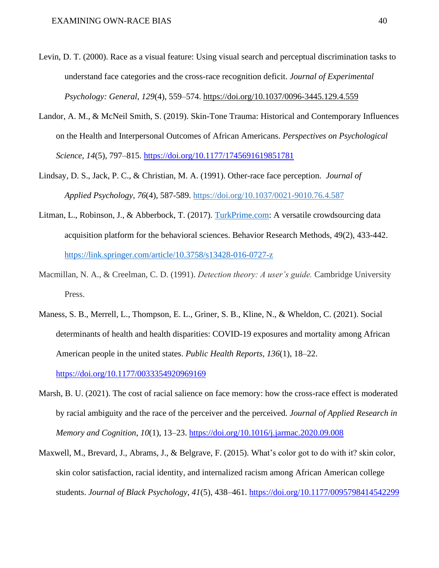- Levin, D. T. (2000). Race as a visual feature: Using visual search and perceptual discrimination tasks to understand face categories and the cross-race recognition deficit. *Journal of Experimental Psychology: General, 129*(4), 559–574. [https://doi.org/10.1037/0096-3445.129.4.559](https://psycnet.apa.org/doi/10.1037/0096-3445.129.4.559)
- Landor, A. M., & McNeil Smith, S. (2019). Skin-Tone Trauma: Historical and Contemporary Influences on the Health and Interpersonal Outcomes of African Americans. *Perspectives on Psychological Science*, *14*(5), 797–815.<https://doi.org/10.1177/1745691619851781>
- Lindsay, D. S., Jack, P. C., & Christian, M. A. (1991). Other-race face perception. *Journal of Applied Psychology*, *76*(4), 587-589. [https://doi.org/10.1037/0021-9010.76.4.587](https://psycnet.apa.org/doi/10.1037/0021-9010.76.4.587)
- Litman, L., Robinson, J., & Abberbock, T. (2017). [TurkPrime.com:](https://www.cloudresearch.com/products/turkprime-mturk-toolkit/) A versatile crowdsourcing data acquisition platform for the behavioral sciences. Behavior Research Methods, 49(2), 433-442. <https://link.springer.com/article/10.3758/s13428-016-0727-z>
- Macmillan, N. A., & Creelman, C. D. (1991). *Detection theory: A user's guide.* Cambridge University Press.
- Maness, S. B., Merrell, L., Thompson, E. L., Griner, S. B., Kline, N., & Wheldon, C. (2021). Social determinants of health and health disparities: COVID-19 exposures and mortality among African American people in the united states. *Public Health Reports*, *136*(1), 18–22. <https://doi.org/10.1177/0033354920969169>

Marsh, B. U. (2021). The cost of racial salience on face memory: how the cross-race effect is moderated by racial ambiguity and the race of the perceiver and the perceived. *Journal of Applied Research in Memory and Cognition*, *10*(1), 13–23.<https://doi.org/10.1016/j.jarmac.2020.09.008>

Maxwell, M., Brevard, J., Abrams, J., & Belgrave, F. (2015). What's color got to do with it? skin color, skin color satisfaction, racial identity, and internalized racism among African American college students. *Journal of Black Psychology*, *41*(5), 438–461.<https://doi.org/10.1177/0095798414542299>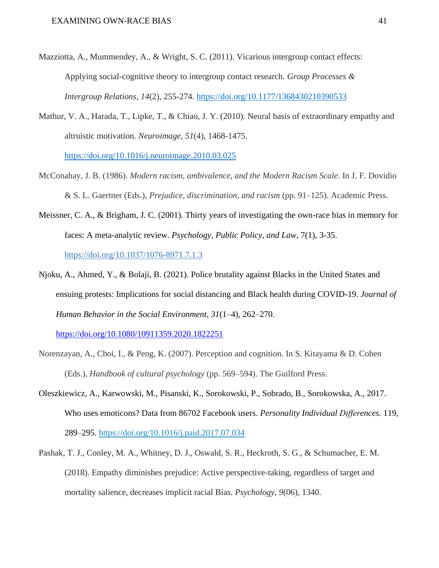- Mazziotta, A., Mummendey, A., & Wright, S. C. (2011). Vicarious intergroup contact effects: Applying social-cognitive theory to intergroup contact research. *Group Processes & Intergroup Relations*, *14*(2), 255-274. [https://doi.org/10.1177/1368430210390533](https://doi.org/10.1177%2F1368430210390533)
- Mathur, V. A., Harada, T., Lipke, T., & Chiao, J. Y. (2010). Neural basis of extraordinary empathy and altruistic motivation. *Neuroimage*, *51*(4), 1468-1475.

<https://doi.org/10.1016/j.neuroimage.2010.03.025>

- McConahay, J. B. (1986). *Modern racism, ambivalence, and the Modern Racism Scale.* In J. F. Dovidio & S. L. Gaertner (Eds.), *Prejudice, discrimination, and racism* (pp. 91–125). Academic Press.
- Meissner, C. A., & Brigham, J. C. (2001). Thirty years of investigating the own-race bias in memory for faces: A meta-analytic review. *Psychology, Public Policy, and Law*, 7(1), 3-35. [https://doi.org/10.1037/1076-8971.7.1.3](https://psycnet.apa.org/doi/10.1037/1076-8971.7.1.3)
- Njoku, A., Ahmed, Y., & Bolaji, B. (2021). Police brutality against Blacks in the United States and ensuing protests: Implications for social distancing and Black health during COVID-19. *Journal of Human Behavior in the Social Environment*, *31*(1–4), 262–270.

<https://doi.org/10.1080/10911359.2020.1822251>

- Norenzayan, A., Choi, I., & Peng, K. (2007). Perception and cognition. In S. Kitayama & D. Cohen (Eds.), *Handbook of cultural psychology* (pp. 569–594). The Guilford Press.
- Oleszkiewicz, A., Karwowski, M., Pisanski, K., Sorokowski, P., Sobrado, B., Sorokowska, A., 2017. Who uses emoticons? Data from 86702 Facebook users. *Personality Individual Differences.* 119, 289–295.<https://doi.org/10.1016/j.paid.2017.07.034>
- Pashak, T. J., Conley, M. A., Whitney, D. J., Oswald, S. R., Heckroth, S. G., & Schumacher, E. M. (2018). Empathy diminishes prejudice: Active perspective-taking, regardless of target and mortality salience, decreases implicit racial Bias. *Psychology*, *9*(06), 1340.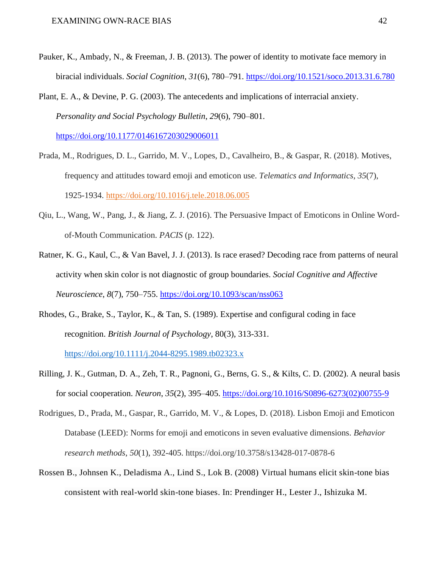- Pauker, K., Ambady, N., & Freeman, J. B. (2013). The power of identity to motivate face memory in biracial individuals. *Social Cognition*, *31*(6), 780–791.<https://doi.org/10.1521/soco.2013.31.6.780>
- Plant, E. A., & Devine, P. G. (2003). The antecedents and implications of interracial anxiety. *Personality and Social Psychology Bulletin*, *29*(6), 790–801.

<https://doi.org/10.1177/0146167203029006011>

- Prada, M., Rodrigues, D. L., Garrido, M. V., Lopes, D., Cavalheiro, B., & Gaspar, R. (2018). Motives, frequency and attitudes toward emoji and emoticon use. *Telematics and Informatics*, *35*(7), 1925-1934.<https://doi.org/10.1016/j.tele.2018.06.005>
- Qiu, L., Wang, W., Pang, J., & Jiang, Z. J. (2016). The Persuasive Impact of Emoticons in Online Wordof-Mouth Communication. *PACIS* (p. 122).
- Ratner, K. G., Kaul, C., & Van Bavel, J. J. (2013). Is race erased? Decoding race from patterns of neural activity when skin color is not diagnostic of group boundaries. *Social Cognitive and Affective Neuroscience*, *8*(7), 750–755.<https://doi.org/10.1093/scan/nss063>
- Rhodes, G., Brake, S., Taylor, K., & Tan, S. (1989). Expertise and configural coding in face recognition. *British Journal of Psychology*, 80(3), 313-331.

<https://doi.org/10.1111/j.2044-8295.1989.tb02323.x>

- Rilling, J. K., Gutman, D. A., Zeh, T. R., Pagnoni, G., Berns, G. S., & Kilts, C. D. (2002). A neural basis for social cooperation. *Neuron*, *35*(2), 395–405. [https://doi.org/10.1016/S0896-6273\(02\)00755-9](https://doi.org/10.1016/S0896-6273(02)00755-9)
- Rodrigues, D., Prada, M., Gaspar, R., Garrido, M. V., & Lopes, D. (2018). Lisbon Emoji and Emoticon Database (LEED): Norms for emoji and emoticons in seven evaluative dimensions. *Behavior research methods*, *50*(1), 392-405. https://doi.org/10.3758/s13428-017-0878-6
- Rossen B., Johnsen K., Deladisma A., Lind S., Lok B. (2008) Virtual humans elicit skin-tone bias consistent with real-world skin-tone biases. In: Prendinger H., Lester J., Ishizuka M.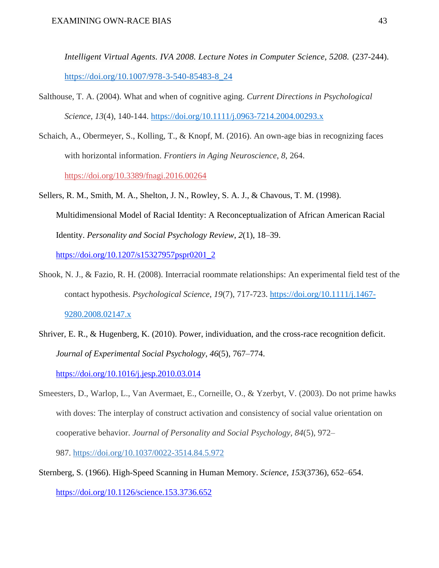*Intelligent Virtual Agents. IVA 2008. Lecture Notes in Computer Science, 5208.* (237-244). [https://doi.org/10.1007/978-3-540-85483-8\\_24](https://doi.org/10.1007/978-3-540-85483-8_24)

- Salthouse, T. A. (2004). What and when of cognitive aging. *Current Directions in Psychological Science*, *13*(4), 140-144. [https://doi.org/10.1111/j.0963-7214.2004.00293.x](https://doi.org/10.1111%2Fj.0963-7214.2004.00293.x)
- Schaich, A., Obermeyer, S., Kolling, T., & Knopf, M. (2016). An own-age bias in recognizing faces with horizontal information. *Frontiers in Aging Neuroscience*, *8*, 264. <https://doi.org/10.3389/fnagi.2016.00264>
- Sellers, R. M., Smith, M. A., Shelton, J. N., Rowley, S. A. J., & Chavous, T. M. (1998). Multidimensional Model of Racial Identity: A Reconceptualization of African American Racial Identity. *Personality and Social Psychology Review*, *2*(1), 18–39. [https://doi.org/10.1207/s15327957pspr0201\\_2](https://doi.org/10.1207/s15327957pspr0201_2)
- Shook, N. J., & Fazio, R. H. (2008). Interracial roommate relationships: An experimental field test of the contact hypothesis. *Psychological Science*, *19*(7), 717-723. [https://doi.org/10.1111/j.1467-](https://doi.org/10.1111%2Fj.1467-9280.2008.02147.x) [9280.2008.02147.x](https://doi.org/10.1111%2Fj.1467-9280.2008.02147.x)
- Shriver, E. R., & Hugenberg, K. (2010). Power, individuation, and the cross-race recognition deficit. *Journal of Experimental Social Psychology*, *46*(5), 767–774. <https://doi.org/10.1016/j.jesp.2010.03.014>
- Smeesters, D., Warlop, L., Van Avermaet, E., Corneille, O., & Yzerbyt, V. (2003). Do not prime hawks with doves: The interplay of construct activation and consistency of social value orientation on cooperative behavior. *Journal of Personality and Social Psychology, 84*(5), 972– 987. [https://doi.org/10.1037/0022-3514.84.5.972](https://psycnet.apa.org/doi/10.1037/0022-3514.84.5.972)

Sternberg, S. (1966). High-Speed Scanning in Human Memory. *Science*, *153*(3736), 652–654. <https://doi.org/10.1126/science.153.3736.652>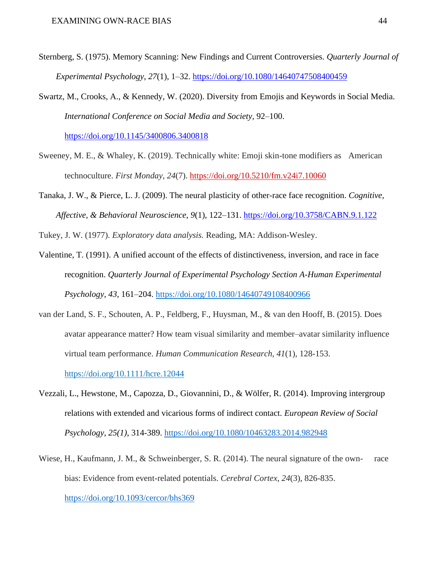- Sternberg, S. (1975). Memory Scanning: New Findings and Current Controversies. *Quarterly Journal of Experimental Psychology*, *27*(1), 1–32.<https://doi.org/10.1080/14640747508400459>
- Swartz, M., Crooks, A., & Kennedy, W. (2020). Diversity from Emojis and Keywords in Social Media. *International Conference on Social Media and Society*, 92–100.

<https://doi.org/10.1145/3400806.3400818>

- Sweeney, M. E., & Whaley, K. (2019). Technically white: Emoji skin-tone modifiers as American technoculture. *First Monday*, *24*(7).<https://doi.org/10.5210/fm.v24i7.10060>
- Tanaka, J. W., & Pierce, L. J. (2009). The neural plasticity of other-race face recognition. *Cognitive, Affective, & Behavioral Neuroscience*, *9*(1), 122–131.<https://doi.org/10.3758/CABN.9.1.122>

Tukey, J. W. (1977). *Exploratory data analysis.* Reading, MA: Addison-Wesley.

- Valentine, T. (1991). A unified account of the effects of distinctiveness, inversion, and race in face recognition. *Quarterly Journal of Experimental Psychology Section A-Human Experimental Psychology, 43*, 161–204. [https://doi.org/10.1080/14640749108400966](https://doi.org/10.1080%2F14640749108400966)
- van der Land, S. F., Schouten, A. P., Feldberg, F., Huysman, M., & van den Hooff, B. (2015). Does avatar appearance matter? How team visual similarity and member–avatar similarity influence virtual team performance. *Human Communication Research*, *41*(1), 128-153. <https://doi.org/10.1111/hcre.12044>
- Vezzali, L., Hewstone, M., Capozza, D., Giovannini, D., & Wölfer, R. (2014). Improving intergroup relations with extended and vicarious forms of indirect contact. *European Review of Social Psychology*, *25(1)*, 314-389.<https://doi.org/10.1080/10463283.2014.982948>
- Wiese, H., Kaufmann, J. M., & Schweinberger, S. R. (2014). The neural signature of the own- race bias: Evidence from event-related potentials. *Cerebral Cortex*, *24*(3), 826-835. <https://doi.org/10.1093/cercor/bhs369>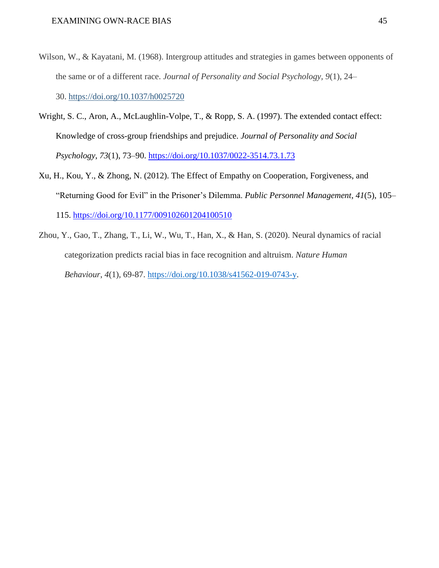- Wilson, W., & Kayatani, M. (1968). Intergroup attitudes and strategies in games between opponents of the same or of a different race. *Journal of Personality and Social Psychology, 9*(1), 24– 30. [https://doi.org/10.1037/h0025720](https://psycnet.apa.org/doi/10.1037/h0025720)
- Wright, S. C., Aron, A., McLaughlin-Volpe, T., & Ropp, S. A. (1997). The extended contact effect: Knowledge of cross-group friendships and prejudice. *Journal of Personality and Social Psychology*, *73*(1), 73–90.<https://doi.org/10.1037/0022-3514.73.1.73>
- Xu, H., Kou, Y., & Zhong, N. (2012). The Effect of Empathy on Cooperation, Forgiveness, and "Returning Good for Evil" in the Prisoner's Dilemma. *Public Personnel Management*, *41*(5), 105– 115.<https://doi.org/10.1177/009102601204100510>
- Zhou, Y., Gao, T., Zhang, T., Li, W., Wu, T., Han, X., & Han, S. (2020). Neural dynamics of racial categorization predicts racial bias in face recognition and altruism. *Nature Human Behaviour*, *4*(1), 69-87. [https://doi.org/10.1038/s41562-019-0743-y.](https://doi.org/10.1038/s41562-019-0743-y)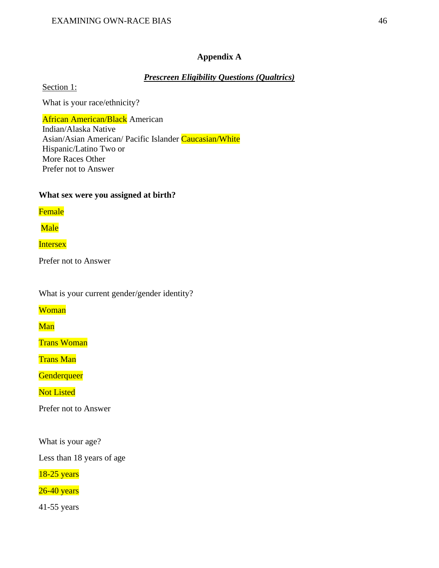## **Appendix A**

## *Prescreen Eligibility Questions (Qualtrics)*

Section 1:

What is your race/ethnicity?

## African American/Black American

Indian/Alaska Native Asian/Asian American/ Pacific Islander Caucasian/White Hispanic/Latino Two or More Races Other Prefer not to Answer

## **What sex were you assigned at birth?**

Female

Male

**Intersex** 

Prefer not to Answer

What is your current gender/gender identity?

**Woman** 

Man

Trans Woman

Trans Man

**Genderqueer** 

**Not Listed** 

Prefer not to Answer

What is your age?

Less than 18 years of age

18-25 years

 $26-40$  years

41-55 years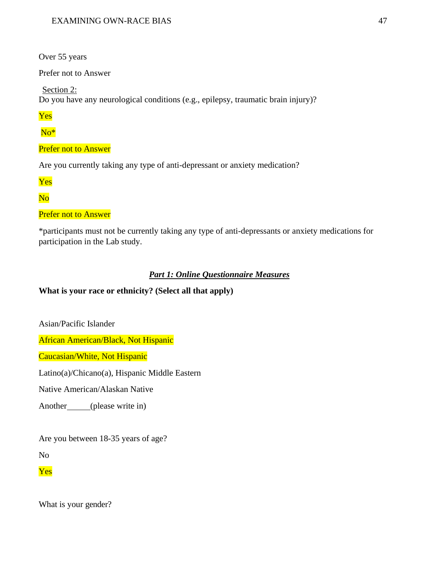## Over 55 years

Prefer not to Answer

Section 2: Do you have any neurological conditions (e.g., epilepsy, traumatic brain injury)?

## Yes

No\*

**Prefer not to Answer** 

Are you currently taking any type of anti-depressant or anxiety medication?

Yes

No

Prefer not to Answer

\*participants must not be currently taking any type of anti-depressants or anxiety medications for participation in the Lab study.

## *Part 1: Online Questionnaire Measures*

## **What is your race or ethnicity? (Select all that apply)**

Asian/Pacific Islander

African American/Black, Not Hispanic

Caucasian/White, Not Hispanic

Latino(a)/Chicano(a), Hispanic Middle Eastern

Native American/Alaskan Native

Another (please write in)

Are you between 18-35 years of age?

No

Yes

What is your gender?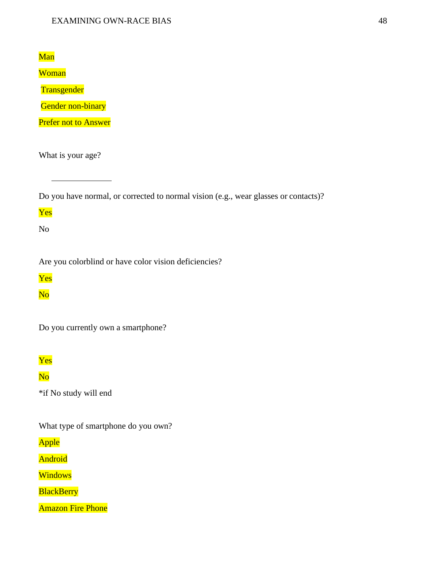Man

**Woman** 

**Transgender** 

Gender non-binary

**Prefer not to Answer** 

What is your age?

Do you have normal, or corrected to normal vision (e.g., wear glasses or contacts)?

## Yes

No

Are you colorblind or have color vision deficiencies?

Yes

No

Do you currently own a smartphone?

## Yes

No

\*if No study will end

What type of smartphone do you own?

Apple

Android

**Windows** 

**BlackBerry** 

Amazon Fire Phone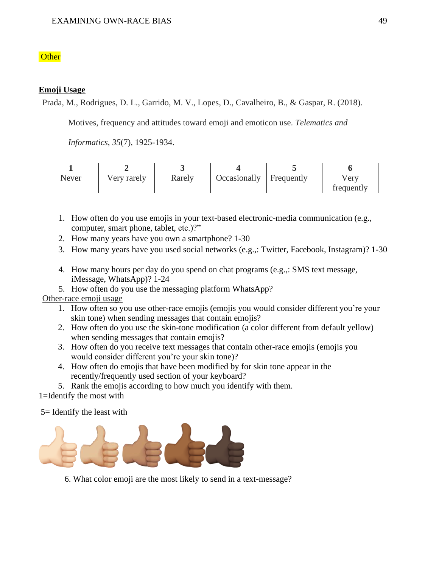## **Other**

## **Emoji Usage**

Prada, M., Rodrigues, D. L., Garrido, M. V., Lopes, D., Cavalheiro, B., & Gaspar, R. (2018).

Motives, frequency and attitudes toward emoji and emoticon use. *Telematics and* 

*Informatics*, *35*(7), 1925-1934.

| Never | Very rarely | Rarely | Occasionally Frequently | v erv      |
|-------|-------------|--------|-------------------------|------------|
|       |             |        |                         | frequently |

- 1. How often do you use emojis in your text-based electronic-media communication (e.g., computer, smart phone, tablet, etc.)?"
- 2. How many years have you own a smartphone? 1-30
- 3. How many years have you used social networks (e.g.,: Twitter, Facebook, Instagram)? 1-30
- 4. How many hours per day do you spend on chat programs (e.g.,: SMS text message, iMessage, WhatsApp)? 1-24
- 5. How often do you use the messaging platform WhatsApp?

## Other-race emoji usage

- 1. How often so you use other-race emojis (emojis you would consider different you're your skin tone) when sending messages that contain emojis?
- 2. How often do you use the skin-tone modification (a color different from default yellow) when sending messages that contain emojis?
- 3. How often do you receive text messages that contain other-race emojis (emojis you would consider different you're your skin tone)?
- 4. How often do emojis that have been modified by for skin tone appear in the recently/frequently used section of your keyboard?
- 5. Rank the emojis according to how much you identify with them.

1=Identify the most with

5= Identify the least with



6. What color emoji are the most likely to send in a text-message?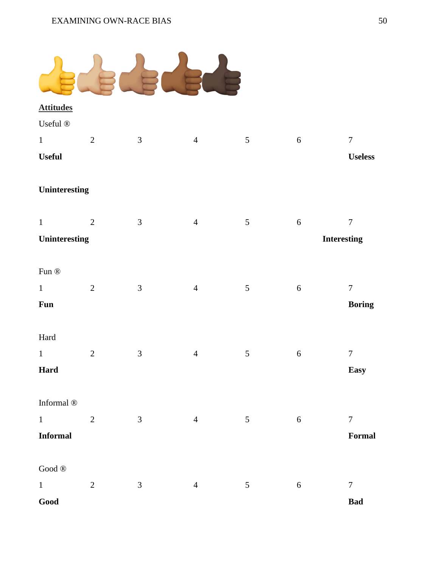

**Attitudes**

Useful ®

| $\,1\,$               | $\sqrt{2}$     | $\mathfrak{Z}$ | $\overline{4}$ | 5              | $\sqrt{6}$ | $\boldsymbol{7}$   |
|-----------------------|----------------|----------------|----------------|----------------|------------|--------------------|
| <b>Useful</b>         |                |                |                |                |            | <b>Useless</b>     |
| Uninteresting         |                |                |                |                |            |                    |
| $1\,$                 | $\sqrt{2}$     | $\mathfrak 3$  | $\overline{4}$ | $\sqrt{5}$     | $\sqrt{6}$ | $\boldsymbol{7}$   |
| Uninteresting         |                |                |                |                |            | <b>Interesting</b> |
| Fun $\circledR$       |                |                |                |                |            |                    |
| $\,1\,$               | $\sqrt{2}$     | $\mathfrak{Z}$ | $\overline{4}$ | $\mathfrak{S}$ | $\sqrt{6}$ | $\boldsymbol{7}$   |
| Fun                   |                |                |                |                |            | <b>Boring</b>      |
| $\operatorname{Hard}$ |                |                |                |                |            |                    |
| $\,1\,$               | $\overline{2}$ | $\mathfrak{Z}$ | $\overline{4}$ | $\sqrt{5}$     | $6\,$      | $\boldsymbol{7}$   |
| Hard                  |                |                |                |                |            | Easy               |
| Informal $\circledR$  |                |                |                |                |            |                    |
| $\,1\,$               | $\overline{2}$ | $\mathfrak{Z}$ | $\overline{4}$ | $\sqrt{5}$     | $\sqrt{6}$ | $\boldsymbol{7}$   |
| <b>Informal</b>       |                |                |                |                |            | Formal             |
| Good $\circledR$      |                |                |                |                |            |                    |
| $\,1\,$               | $\sqrt{2}$     | $\mathfrak{Z}$ | $\overline{4}$ | $\mathfrak{S}$ | $\sqrt{6}$ | $\boldsymbol{7}$   |
| Good                  |                |                |                |                |            | <b>Bad</b>         |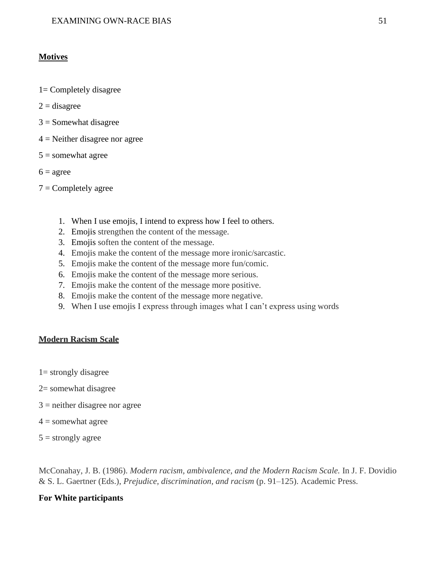## **Motives**

- 1= Completely disagree
- $2 =$  disagree
- $3 =$  Somewhat disagree
- $4$  = Neither disagree nor agree
- $5 =$ somewhat agree
- $6 = \text{agree}$
- $7 =$  Completely agree
	- 1. When I use emojis, I intend to express how I feel to others.
	- 2. Emojis strengthen the content of the message.
	- 3. Emojis soften the content of the message.
	- 4. Emojis make the content of the message more ironic/sarcastic.
	- 5. Emojis make the content of the message more fun/comic.
	- 6. Emojis make the content of the message more serious.
	- 7. Emojis make the content of the message more positive.
	- 8. Emojis make the content of the message more negative.
	- 9. When I use emojis I express through images what I can't express using words

## **Modern Racism Scale**

- 1= strongly disagree
- 2= somewhat disagree
- $3$  = neither disagree nor agree
- $4 =$ somewhat agree
- $5 =$  strongly agree

McConahay, J. B. (1986). *Modern racism, ambivalence, and the Modern Racism Scale.* In J. F. Dovidio & S. L. Gaertner (Eds.), *Prejudice, discrimination, and racism* (p. 91–125). Academic Press.

## **For White participants**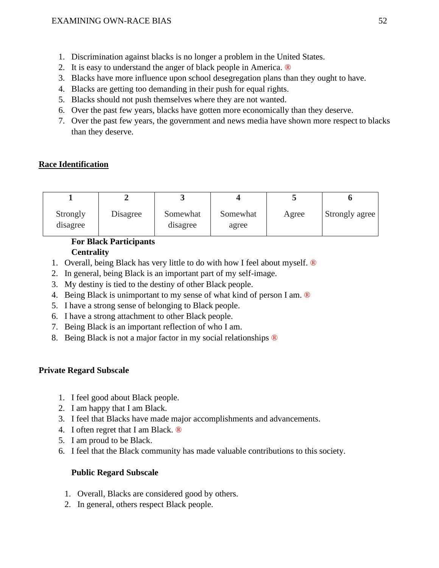- 1. Discrimination against blacks is no longer a problem in the United States.
- 2. It is easy to understand the anger of black people in America. ®
- 3. Blacks have more influence upon school desegregation plans than they ought to have.
- 4. Blacks are getting too demanding in their push for equal rights.
- 5. Blacks should not push themselves where they are not wanted.
- 6. Over the past few years, blacks have gotten more economically than they deserve.
- 7. Over the past few years, the government and news media have shown more respect to blacks than they deserve.

## **Race Identification**

| Strongly<br>disagree | Disagree | Somewhat<br>disagree | Somewhat<br>agree | Agree | Strongly agree |
|----------------------|----------|----------------------|-------------------|-------|----------------|

## **For Black Participants Centrality**

- 1. Overall, being Black has very little to do with how I feel about myself. ®
- 2. In general, being Black is an important part of my self-image.
- 3. My destiny is tied to the destiny of other Black people.
- 4. Being Black is unimportant to my sense of what kind of person I am. ®
- 5. I have a strong sense of belonging to Black people.
- 6. I have a strong attachment to other Black people.
- 7. Being Black is an important reflection of who I am.
- 8. Being Black is not a major factor in my social relationships ®

## **Private Regard Subscale**

- 1. I feel good about Black people.
- 2. I am happy that I am Black.
- 3. I feel that Blacks have made major accomplishments and advancements.
- 4. I often regret that I am Black.  $\circledR$
- 5. I am proud to be Black.
- 6. I feel that the Black community has made valuable contributions to this society.

## **Public Regard Subscale**

- 1. Overall, Blacks are considered good by others.
- 2. In general, others respect Black people.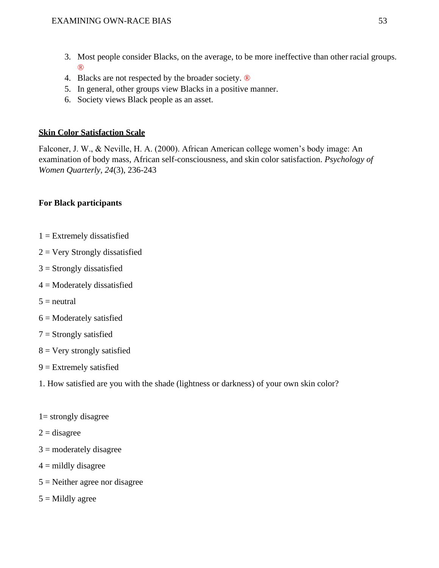- 3. Most people consider Blacks, on the average, to be more ineffective than other racial groups. ®
- 4. Blacks are not respected by the broader society. ®
- 5. In general, other groups view Blacks in a positive manner.
- 6. Society views Black people as an asset.

## **Skin Color Satisfaction Scale**

Falconer, J. W., & Neville, H. A. (2000). African American college women's body image: An examination of body mass, African self-consciousness, and skin color satisfaction. *Psychology of Women Quarterly, 24*(3), 236-243

## **For Black participants**

- $1 =$  Extremely dissatisfied
- $2 =$  Very Strongly dissatisfied
- $3 =$  Strongly dissatisfied
- $4 =$ Moderately dissatisfied
- $5 =$  neutral
- $6 =$ Moderately satisfied
- $7 =$ Strongly satisfied
- $8 =$  Very strongly satisfied
- $9$  = Extremely satisfied
- 1. How satisfied are you with the shade (lightness or darkness) of your own skin color?
- 1= strongly disagree
- $2 =$  disagree
- $3$  = moderately disagree
- $4$  = mildly disagree
- $5$  = Neither agree nor disagree
- $5 =$ Mildly agree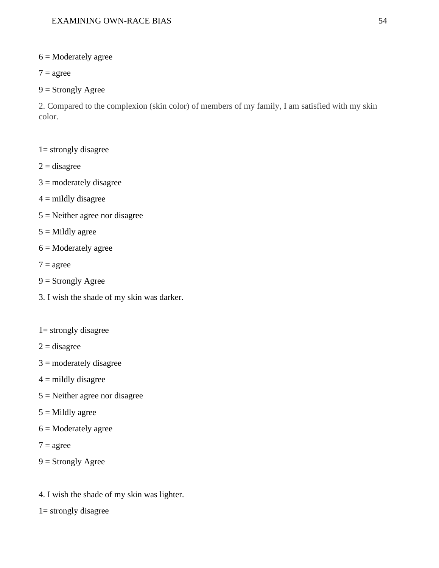## $6$  = Moderately agree

### $7 = \text{agree}$

## $9 =$ Strongly Agree

2. Compared to the complexion (skin color) of members of my family, I am satisfied with my skin color.

- 1= strongly disagree
- $2 =$  disagree
- $3 =$  moderately disagree
- $4$  = mildly disagree
- 5 = Neither agree nor disagree
- $5 =$  Mildly agree
- $6 =$ Moderately agree
- $7 = \text{agree}$
- $9 =$  Strongly Agree
- 3. I wish the shade of my skin was darker.
- 1= strongly disagree
- $2 =$  disagree
- $3 =$  moderately disagree
- $4$  = mildly disagree
- 5 = Neither agree nor disagree
- $5 =$  Mildly agree
- $6 =$ Moderately agree
- $7 = \text{agree}$
- $9 =$ Strongly Agree
- 4. I wish the shade of my skin was lighter.
- 1= strongly disagree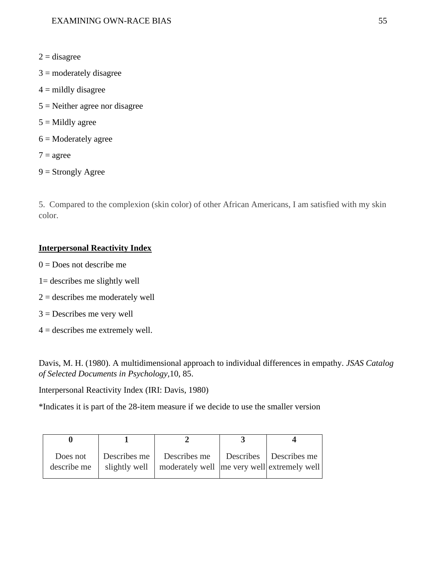- $2 =$  disagree
- $3 =$  moderately disagree
- $4 =$  mildly disagree
- 5 = Neither agree nor disagree
- $5 =$  Mildly agree
- $6 =$ Moderately agree
- $7 = \text{agree}$
- $9 =$  Strongly Agree

5. Compared to the complexion (skin color) of other African Americans, I am satisfied with my skin color.

## **Interpersonal Reactivity Index**

- $0 =$ Does not describe me
- 1= describes me slightly well
- $2 =$  describes me moderately well
- $3 =$  Describes me very well
- $4 =$  describes me extremely well.

Davis, M. H. (1980). A multidimensional approach to individual differences in empathy. *JSAS Catalog of Selected Documents in Psychology,*10, 85.

Interpersonal Reactivity Index (IRI: Davis, 1980)

\*Indicates it is part of the 28-item measure if we decide to use the smaller version

| Does not<br>describe me | Describes me Describes me Describes Describes me<br>slightly well   moderately well   me very well extremely well |  |
|-------------------------|-------------------------------------------------------------------------------------------------------------------|--|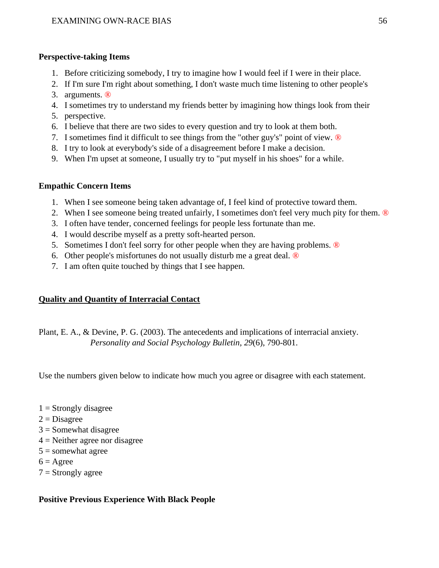## **Perspective-taking Items**

- 1. Before criticizing somebody, I try to imagine how I would feel if I were in their place.
- 2. If I'm sure I'm right about something, I don't waste much time listening to other people's
- 3. arguments. ®
- 4. I sometimes try to understand my friends better by imagining how things look from their
- 5. perspective.
- 6. I believe that there are two sides to every question and try to look at them both.
- 7. I sometimes find it difficult to see things from the "other guy's" point of view. ®
- 8. I try to look at everybody's side of a disagreement before I make a decision.
- 9. When I'm upset at someone, I usually try to "put myself in his shoes" for a while.

## **Empathic Concern Items**

- 1. When I see someone being taken advantage of, I feel kind of protective toward them.
- 2. When I see someone being treated unfairly, I sometimes don't feel very much pity for them. ®
- 3. I often have tender, concerned feelings for people less fortunate than me.
- 4. I would describe myself as a pretty soft-hearted person.
- 5. Sometimes I don't feel sorry for other people when they are having problems. ®
- 6. Other people's misfortunes do not usually disturb me a great deal. ®
- 7. I am often quite touched by things that I see happen.

## **Quality and Quantity of Interracial Contact**

Plant, E. A., & Devine, P. G. (2003). The antecedents and implications of interracial anxiety. *Personality and Social Psychology Bulletin*, *29*(6), 790-801.

Use the numbers given below to indicate how much you agree or disagree with each statement.

- $1 =$ Strongly disagree
- $2 = Disagree$
- $3 =$  Somewhat disagree
- $4$  = Neither agree nor disagree
- $5 =$ somewhat agree
- $6 = \text{Agree}$
- $7 =$ Strongly agree

## **Positive Previous Experience With Black People**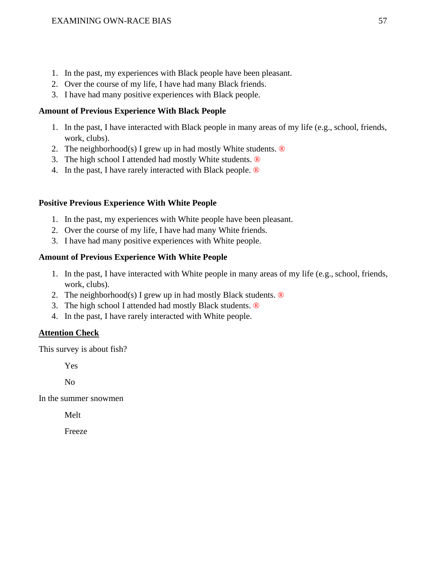- 1. In the past, my experiences with Black people have been pleasant.
- 2. Over the course of my life, I have had many Black friends.
- 3. I have had many positive experiences with Black people.

## **Amount of Previous Experience With Black People**

- 1. In the past, I have interacted with Black people in many areas of my life (e.g., school, friends, work, clubs).
- 2. The neighborhood(s) I grew up in had mostly White students.  $\circledR$
- 3. The high school I attended had mostly White students. ®
- 4. In the past, I have rarely interacted with Black people. ®

## **Positive Previous Experience With White People**

- 1. In the past, my experiences with White people have been pleasant.
- 2. Over the course of my life, I have had many White friends.
- 3. I have had many positive experiences with White people.

## **Amount of Previous Experience With White People**

- 1. In the past, I have interacted with White people in many areas of my life (e.g., school, friends, work, clubs).
- 2. The neighborhood(s) I grew up in had mostly Black students.  $\circledR$
- 3. The high school I attended had mostly Black students. ®
- 4. In the past, I have rarely interacted with White people.

## **Attention Check**

This survey is about fish?

Yes

No

In the summer snowmen

Melt

Freeze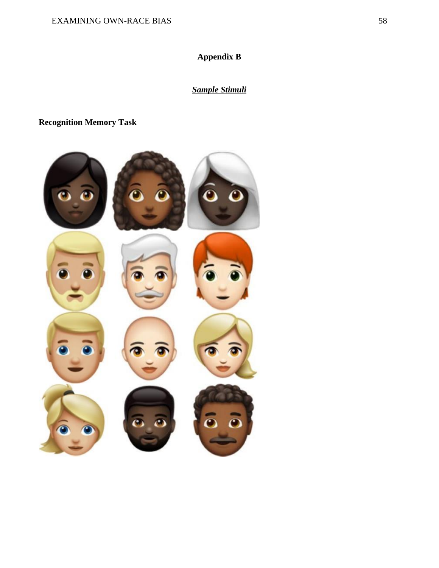# **Appendix B**

# *Sample Stimuli*

**Recognition Memory Task** 

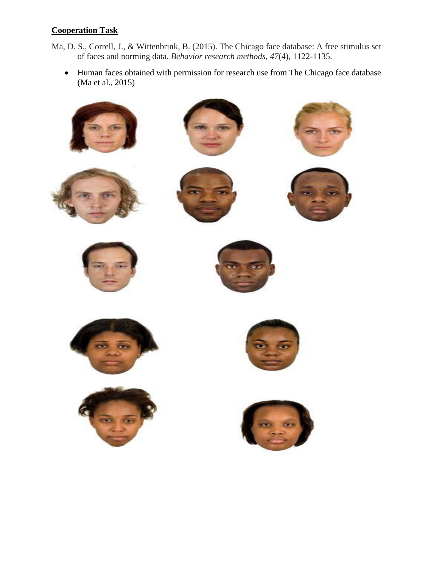## **Cooperation Task**

- Ma, D. S., Correll, J., & Wittenbrink, B. (2015). The Chicago face database: A free stimulus set of faces and norming data. *Behavior research methods*, *47*(4), 1122-1135.
	- Human faces obtained with permission for research use from The Chicago face database (Ma et al., 2015)

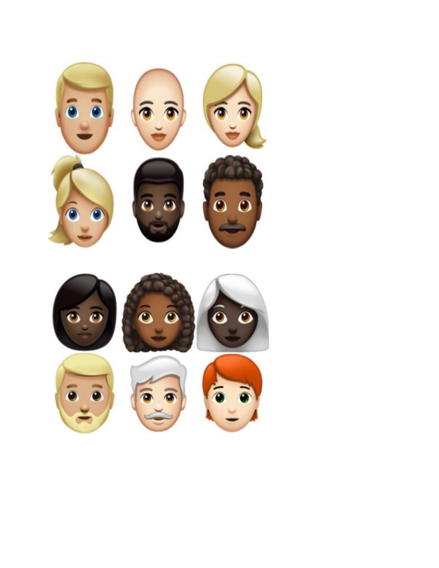